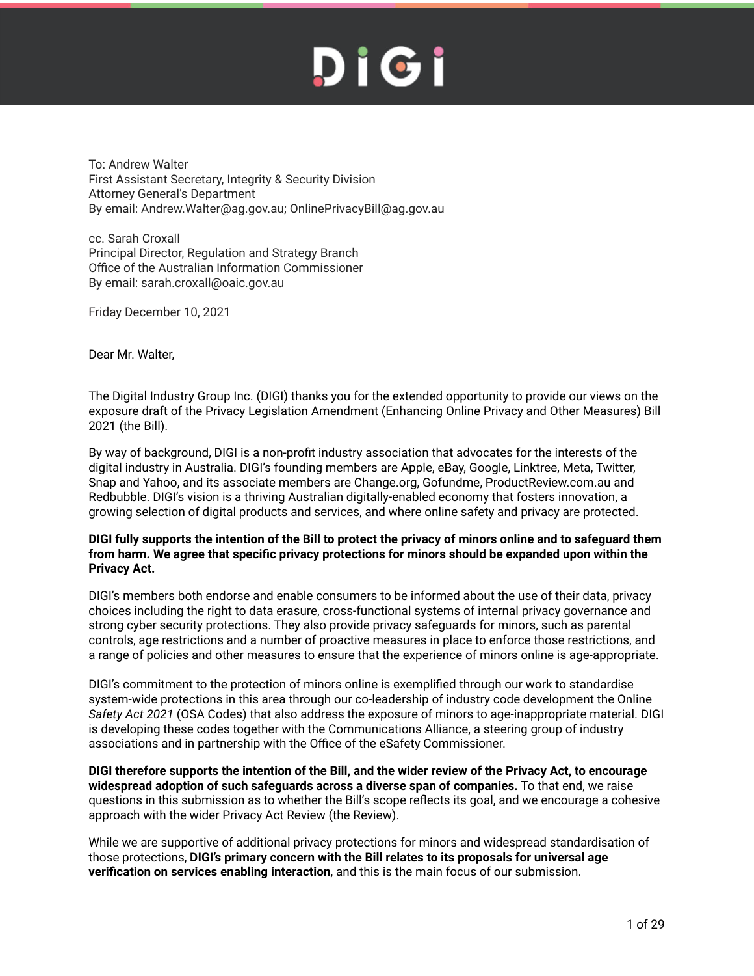To: Andrew Walter First Assistant Secretary, Integrity & Security Division Attorney General's Department By email: Andrew.Walter@ag.gov.au; OnlinePrivacyBill@ag.gov.au

cc. Sarah Croxall Principal Director, Regulation and Strategy Branch Office of the Australian Information Commissioner By email: sarah.croxall@oaic.gov.au

Friday December 10, 2021

Dear Mr. Walter,

The Digital Industry Group Inc. (DIGI) thanks you for the extended opportunity to provide our views on the exposure draft of the Privacy Legislation Amendment (Enhancing Online Privacy and Other Measures) Bill 2021 (the Bill).

By way of background, DIGI is a non-profit industry association that advocates for the interests of the digital industry in Australia. DIGI's founding members are Apple, eBay, Google, Linktree, Meta, Twitter, Snap and Yahoo, and its associate members are Change.org, Gofundme, ProductReview.com.au and Redbubble. DIGI's vision is a thriving Australian digitally-enabled economy that fosters innovation, a growing selection of digital products and services, and where online safety and privacy are protected.

#### **DIGI fully supports the intention of the Bill to protect the privacy of minors online and to safeguard them from harm. We agree that specific privacy protections for minors should be expanded upon within the Privacy Act.**

DIGI's members both endorse and enable consumers to be informed about the use of their data, privacy choices including the right to data erasure, cross-functional systems of internal privacy governance and strong cyber security protections. They also provide privacy safeguards for minors, such as parental controls, age restrictions and a number of proactive measures in place to enforce those restrictions, and a range of policies and other measures to ensure that the experience of minors online is age-appropriate.

DIGI's commitment to the protection of minors online is exemplified through our work to standardise system-wide protections in this area through our co-leadership of industry code development the Online *Safety Act 2021* (OSA Codes) that also address the exposure of minors to age-inappropriate material. DIGI is developing these codes together with the Communications Alliance, a steering group of industry associations and in partnership with the Office of the eSafety Commissioner.

**DIGI therefore supports the intention of the Bill, and the wider review of the Privacy Act, to encourage widespread adoption of such safeguards across a diverse span of companies.** To that end, we raise questions in this submission as to whether the Bill's scope reflects its goal, and we encourage a cohesive approach with the wider Privacy Act Review (the Review).

While we are supportive of additional privacy protections for minors and widespread standardisation of those protections, **DIGI's primary concern with the Bill relates to its proposals for universal age verification on services enabling interaction**, and this is the main focus of our submission.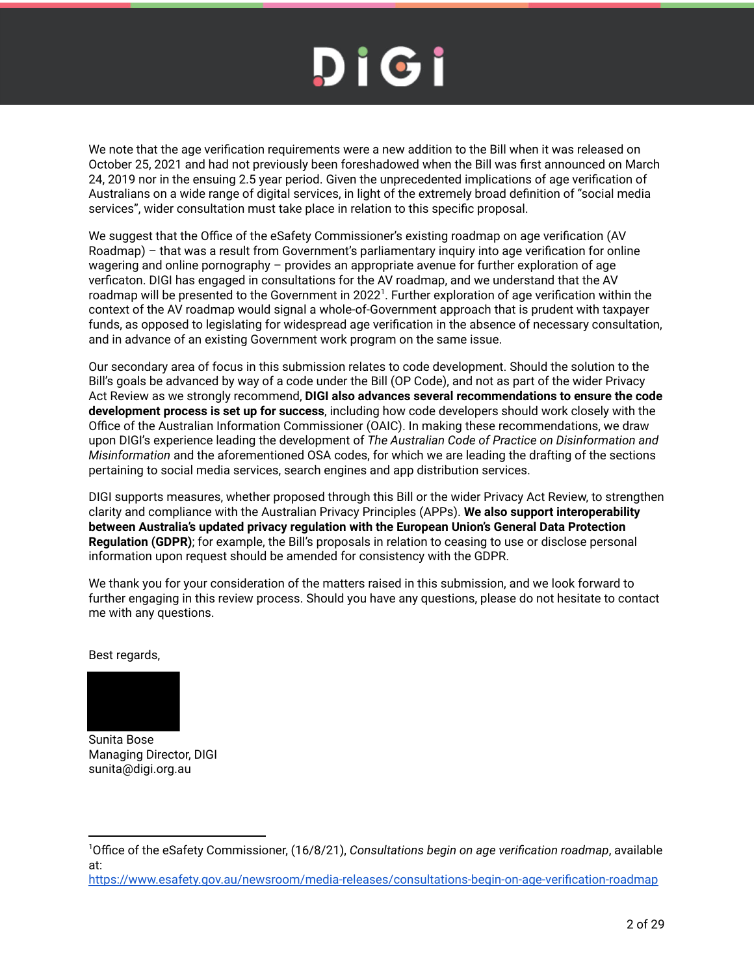We note that the age verification requirements were a new addition to the Bill when it was released on October 25, 2021 and had not previously been foreshadowed when the Bill was first announced on March 24, 2019 nor in the ensuing 2.5 year period. Given the unprecedented implications of age verification of Australians on a wide range of digital services, in light of the extremely broad definition of "social media services", wider consultation must take place in relation to this specific proposal.

We suggest that the Office of the eSafety Commissioner's existing roadmap on age verification (AV Roadmap) – that was a result from Government's parliamentary inquiry into age verification for online wagering and online pornography – provides an appropriate avenue for further exploration of age verficaton. DIGI has engaged in consultations for the AV roadmap, and we understand that the AV roadmap will be presented to the Government in 2022<sup>1</sup>. Further exploration of age verification within the context of the AV roadmap would signal a whole-of-Government approach that is prudent with taxpayer funds, as opposed to legislating for widespread age verification in the absence of necessary consultation, and in advance of an existing Government work program on the same issue.

Our secondary area of focus in this submission relates to code development. Should the solution to the Bill's goals be advanced by way of a code under the Bill (OP Code), and not as part of the wider Privacy Act Review as we strongly recommend, **DIGI also advances several recommendations to ensure the code development process is set up for success**, including how code developers should work closely with the Office of the Australian Information Commissioner (OAIC). In making these recommendations, we draw upon DIGI's experience leading the development of *The Australian Code of Practice on Disinformation and Misinformation* and the aforementioned OSA codes, for which we are leading the drafting of the sections pertaining to social media services, search engines and app distribution services.

DIGI supports measures, whether proposed through this Bill or the wider Privacy Act Review, to strengthen clarity and compliance with the Australian Privacy Principles (APPs). **We also support interoperability between Australia's updated privacy regulation with the European Union's General Data Protection Regulation (GDPR)**; for example, the Bill's proposals in relation to ceasing to use or disclose personal information upon request should be amended for consistency with the GDPR.

We thank you for your consideration of the matters raised in this submission, and we look forward to further engaging in this review process. Should you have any questions, please do not hesitate to contact me with any questions.

Best regards,



Sunita Bose Managing Director, DIGI sunita@digi.org.au

https://www.esafety.gov.au/newsroom/media-releases/consultations-begin-on-age-verification-roadmap

<sup>1</sup>Office of the eSafety Commissioner, (16/8/21), *Consultations begin on age verification roadmap*, available at: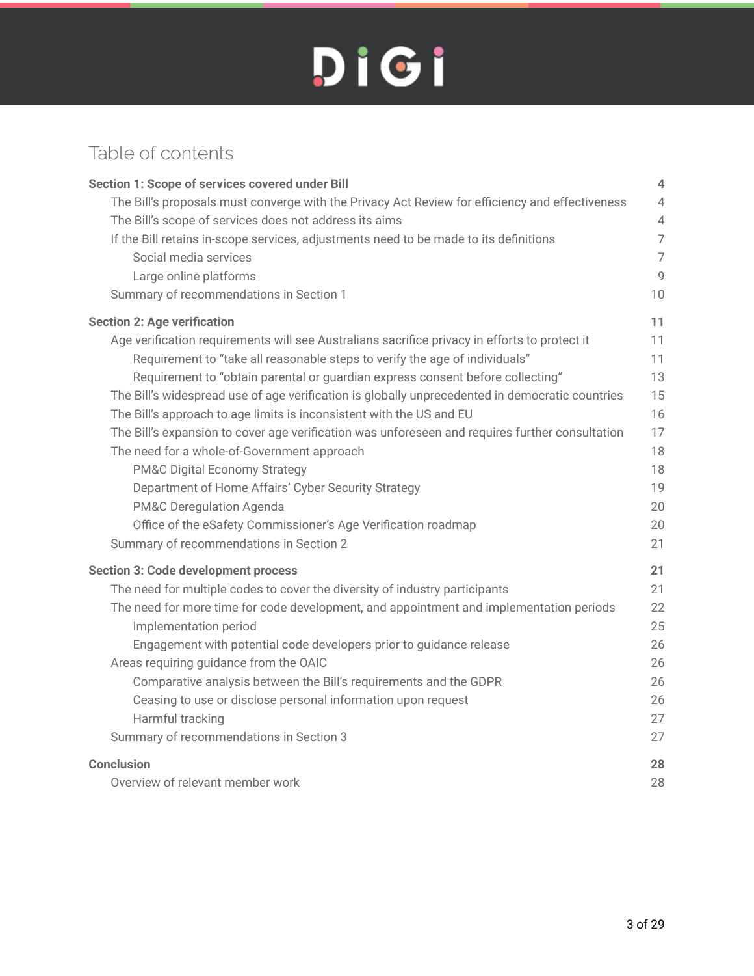#### Table of contents

| Section 1: Scope of services covered under Bill                                                 | 4              |
|-------------------------------------------------------------------------------------------------|----------------|
| The Bill's proposals must converge with the Privacy Act Review for efficiency and effectiveness | $\overline{4}$ |
| The Bill's scope of services does not address its aims                                          | $\sqrt{4}$     |
| If the Bill retains in-scope services, adjustments need to be made to its definitions           | $\overline{7}$ |
| Social media services                                                                           | $\overline{7}$ |
| Large online platforms                                                                          | $\overline{9}$ |
| Summary of recommendations in Section 1                                                         | 10             |
| <b>Section 2: Age verification</b>                                                              | 11             |
| Age verification requirements will see Australians sacrifice privacy in efforts to protect it   | 11             |
| Requirement to "take all reasonable steps to verify the age of individuals"                     | 11             |
| Requirement to "obtain parental or guardian express consent before collecting"                  | 13             |
| The Bill's widespread use of age verification is globally unprecedented in democratic countries | 15             |
| The Bill's approach to age limits is inconsistent with the US and EU                            | 16             |
| The Bill's expansion to cover age verification was unforeseen and requires further consultation | 17             |
| The need for a whole-of-Government approach                                                     | 18             |
| <b>PM&amp;C Digital Economy Strategy</b>                                                        | 18             |
| Department of Home Affairs' Cyber Security Strategy                                             | 19             |
| PM&C Deregulation Agenda                                                                        | 20             |
| Office of the eSafety Commissioner's Age Verification roadmap                                   | 20             |
| Summary of recommendations in Section 2                                                         | 21             |
| <b>Section 3: Code development process</b>                                                      | 21             |
| The need for multiple codes to cover the diversity of industry participants                     | 21             |
| The need for more time for code development, and appointment and implementation periods         | 22             |
| Implementation period                                                                           | 25             |
| Engagement with potential code developers prior to guidance release                             | 26             |
| Areas requiring guidance from the OAIC                                                          | 26             |
| Comparative analysis between the Bill's requirements and the GDPR                               | 26             |
| Ceasing to use or disclose personal information upon request                                    | 26             |
| Harmful tracking                                                                                | 27             |
| Summary of recommendations in Section 3                                                         | 27             |
| <b>Conclusion</b>                                                                               | 28             |
| Overview of relevant member work                                                                | 28             |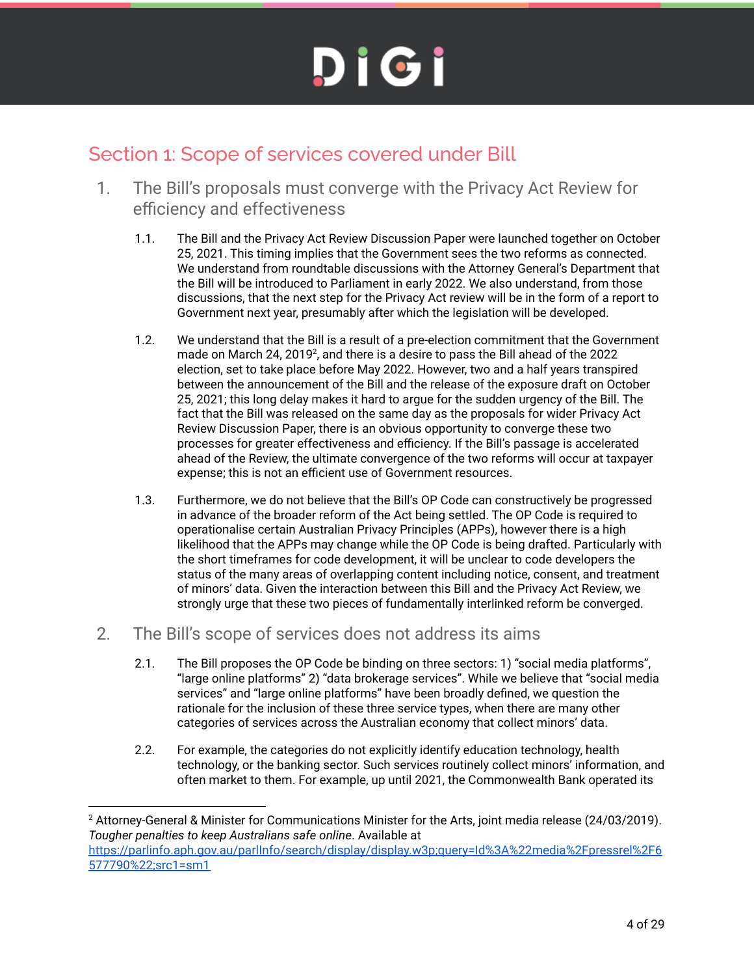#### Section 1: Scope of services covered under Bill

- 1. The Bill's proposals must converge with the Privacy Act Review for efficiency and effectiveness
	- 1.1. The Bill and the Privacy Act Review Discussion Paper were launched together on October 25, 2021. This timing implies that the Government sees the two reforms as connected. We understand from roundtable discussions with the Attorney General's Department that the Bill will be introduced to Parliament in early 2022. We also understand, from those discussions, that the next step for the Privacy Act review will be in the form of a report to Government next year, presumably after which the legislation will be developed.
	- 1.2. We understand that the Bill is a result of a pre-election commitment that the Government made on March 24, 2019<sup>2</sup>, and there is a desire to pass the Bill ahead of the 2022 election, set to take place before May 2022. However, two and a half years transpired between the announcement of the Bill and the release of the exposure draft on October 25, 2021; this long delay makes it hard to argue for the sudden urgency of the Bill. The fact that the Bill was released on the same day as the proposals for wider Privacy Act Review Discussion Paper, there is an obvious opportunity to converge these two processes for greater effectiveness and efficiency. If the Bill's passage is accelerated ahead of the Review, the ultimate convergence of the two reforms will occur at taxpayer expense; this is not an efficient use of Government resources.
	- 1.3. Furthermore, we do not believe that the Bill's OP Code can constructively be progressed in advance of the broader reform of the Act being settled. The OP Code is required to operationalise certain Australian Privacy Principles (APPs), however there is a high likelihood that the APPs may change while the OP Code is being drafted. Particularly with the short timeframes for code development, it will be unclear to code developers the status of the many areas of overlapping content including notice, consent, and treatment of minors' data. Given the interaction between this Bill and the Privacy Act Review, we strongly urge that these two pieces of fundamentally interlinked reform be converged.
- 2. The Bill's scope of services does not address its aims
	- 2.1. The Bill proposes the OP Code be binding on three sectors: 1) "social media platforms", "large online platforms" 2) "data brokerage services". While we believe that "social media services" and "large online platforms" have been broadly defined, we question the rationale for the inclusion of these three service types, when there are many other categories of services across the Australian economy that collect minors' data.
	- 2.2. For example, the categories do not explicitly identify education technology, health technology, or the banking sector. Such services routinely collect minors' information, and often market to them. For example, up until 2021, the Commonwealth Bank operated its

<sup>&</sup>lt;sup>2</sup> Attorney-General & Minister for Communications Minister for the Arts, joint media release (24/03/2019). *Tougher penalties to keep Australians safe online*. Available at https://parlinfo.aph.gov.au/parlInfo/search/display/display.w3p;query=Id%3A%22media%2Fpressrel%2F6 577790%22;src1=sm1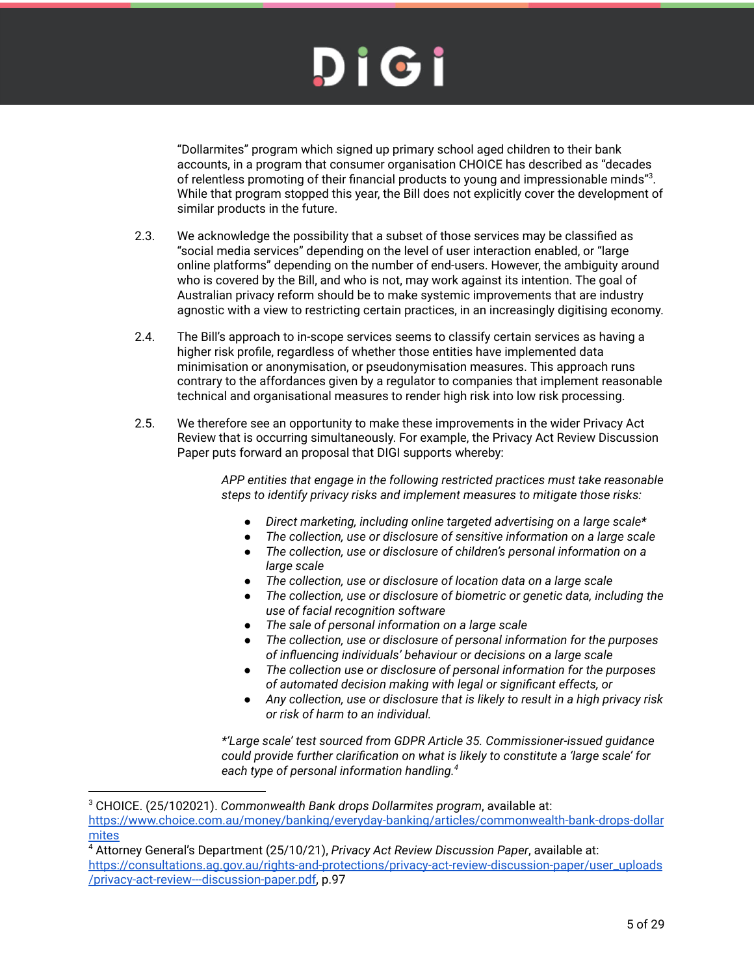"Dollarmites" program which signed up primary school aged children to their bank accounts, in a program that consumer organisation CHOICE has described as "decades of relentless promoting of their financial products to young and impressionable minds" $3$ . While that program stopped this year, the Bill does not explicitly cover the development of similar products in the future.

- 2.3. We acknowledge the possibility that a subset of those services may be classified as "social media services" depending on the level of user interaction enabled, or "large online platforms" depending on the number of end-users. However, the ambiguity around who is covered by the Bill, and who is not, may work against its intention. The goal of Australian privacy reform should be to make systemic improvements that are industry agnostic with a view to restricting certain practices, in an increasingly digitising economy.
- 2.4. The Bill's approach to in-scope services seems to classify certain services as having a higher risk profile, regardless of whether those entities have implemented data minimisation or anonymisation, or pseudonymisation measures. This approach runs contrary to the affordances given by a regulator to companies that implement reasonable technical and organisational measures to render high risk into low risk processing.
- 2.5. We therefore see an opportunity to make these improvements in the wider Privacy Act Review that is occurring simultaneously. For example, the Privacy Act Review Discussion Paper puts forward an proposal that DIGI supports whereby:

*APP entities that engage in the following restricted practices must take reasonable steps to identify privacy risks and implement measures to mitigate those risks:*

- *● Direct marketing, including online targeted advertising on a large scale\**
- *● The collection, use or disclosure of sensitive information on a large scale*
- *● The collection, use or disclosure of children's personal information on a large scale*
- *● The collection, use or disclosure of location data on a large scale*
- *● The collection, use or disclosure of biometric or genetic data, including the use of facial recognition software*
- *● The sale of personal information on a large scale*
- *● The collection, use or disclosure of personal information for the purposes of influencing individuals' behaviour or decisions on a large scale*
- *● The collection use or disclosure of personal information for the purposes of automated decision making with legal or significant effects, or*
- *● Any collection, use or disclosure that is likely to result in a high privacy risk or risk of harm to an individual.*

*\*'Large scale' test sourced from GDPR Article 35. Commissioner-issued guidance could provide further clarification on what is likely to constitute a 'large scale' for each type of personal information handling.<sup>4</sup>*

<sup>3</sup> CHOICE. (25/102021). *Commonwealth Bank drops Dollarmites program*, available at: https://www.choice.com.au/money/banking/everyday-banking/articles/commonwealth-bank-drops-dollar mites

<sup>4</sup> Attorney General's Department (25/10/21), *Privacy Act Review Discussion Paper*, available at: https://consultations.ag.gov.au/rights-and-protections/privacy-act-review-discussion-paper/user\_uploads /privacy-act-review---discussion-paper.pdf, p.97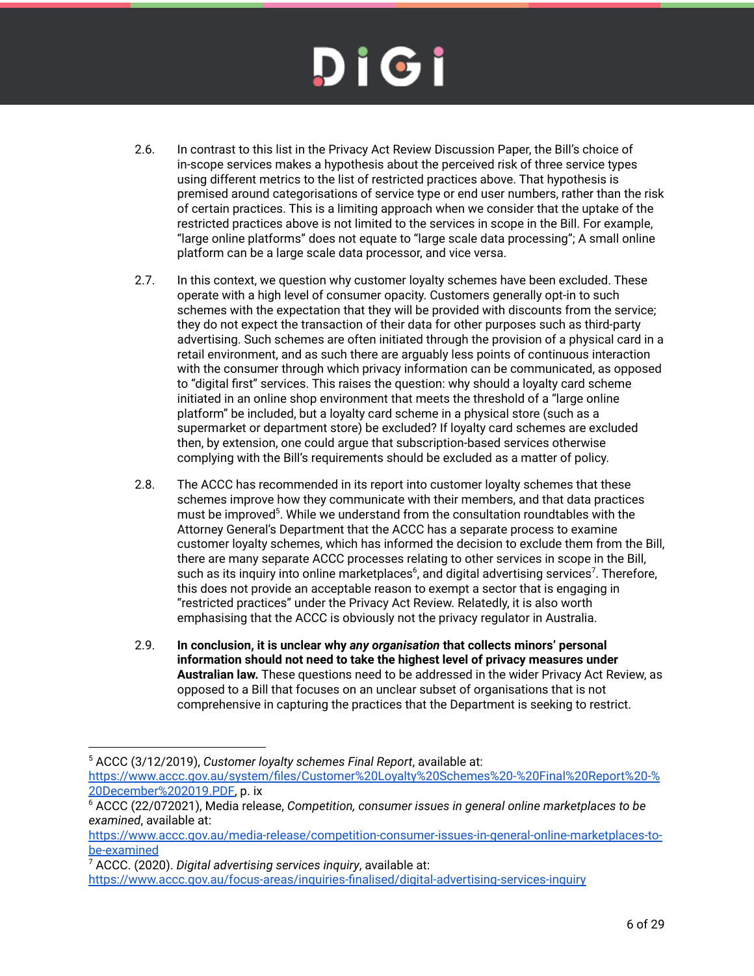- 2.6. In contrast to this list in the Privacy Act Review Discussion Paper, the Bill's choice of in-scope services makes a hypothesis about the perceived risk of three service types using different metrics to the list of restricted practices above. That hypothesis is premised around categorisations of service type or end user numbers, rather than the risk of certain practices. This is a limiting approach when we consider that the uptake of the restricted practices above is not limited to the services in scope in the Bill. For example, "large online platforms" does not equate to "large scale data processing"; A small online platform can be a large scale data processor, and vice versa.
- 2.7. In this context, we question why customer loyalty schemes have been excluded. These operate with a high level of consumer opacity. Customers generally opt-in to such schemes with the expectation that they will be provided with discounts from the service; they do not expect the transaction of their data for other purposes such as third-party advertising. Such schemes are often initiated through the provision of a physical card in a retail environment, and as such there are arguably less points of continuous interaction with the consumer through which privacy information can be communicated, as opposed to "digital first" services. This raises the question: why should a loyalty card scheme initiated in an online shop environment that meets the threshold of a "large online platform" be included, but a loyalty card scheme in a physical store (such as a supermarket or department store) be excluded? If loyalty card schemes are excluded then, by extension, one could argue that subscription-based services otherwise complying with the Bill's requirements should be excluded as a matter of policy.
- 2.8. The ACCC has recommended in its report into customer loyalty schemes that these schemes improve how they communicate with their members, and that data practices must be improved<sup>5</sup>. While we understand from the consultation roundtables with the Attorney General's Department that the ACCC has a separate process to examine customer loyalty schemes, which has informed the decision to exclude them from the Bill, there are many separate ACCC processes relating to other services in scope in the Bill, such as its inquiry into online marketplaces $^6$ , and digital advertising services<sup>7</sup>. Therefore, this does not provide an acceptable reason to exempt a sector that is engaging in "restricted practices" under the Privacy Act Review. Relatedly, it is also worth emphasising that the ACCC is obviously not the privacy regulator in Australia.
- 2.9. **In conclusion, it is unclear why** *any organisation* **that collects minors' personal information should not need to take the highest level of privacy measures under Australian law.** These questions need to be addressed in the wider Privacy Act Review, as opposed to a Bill that focuses on an unclear subset of organisations that is not comprehensive in capturing the practices that the Department is seeking to restrict.

<sup>5</sup> ACCC (3/12/2019), *Customer loyalty schemes Final Report*, available at:

https://www.accc.gov.au/system/files/Customer%20Loyalty%20Schemes%20-%20Final%20Report%20-% 20December%202019.PDF, p. ix

<sup>6</sup> ACCC (22/072021), Media release, *Competition, consumer issues in general online marketplaces to be examined*, available at:

https://www.accc.gov.au/media-release/competition-consumer-issues-in-general-online-marketplaces-tobe-examined

<sup>7</sup> ACCC. (2020). *Digital advertising services inquiry*, available at:

https://www.accc.gov.au/focus-areas/inquiries-finalised/digital-advertising-services-inquiry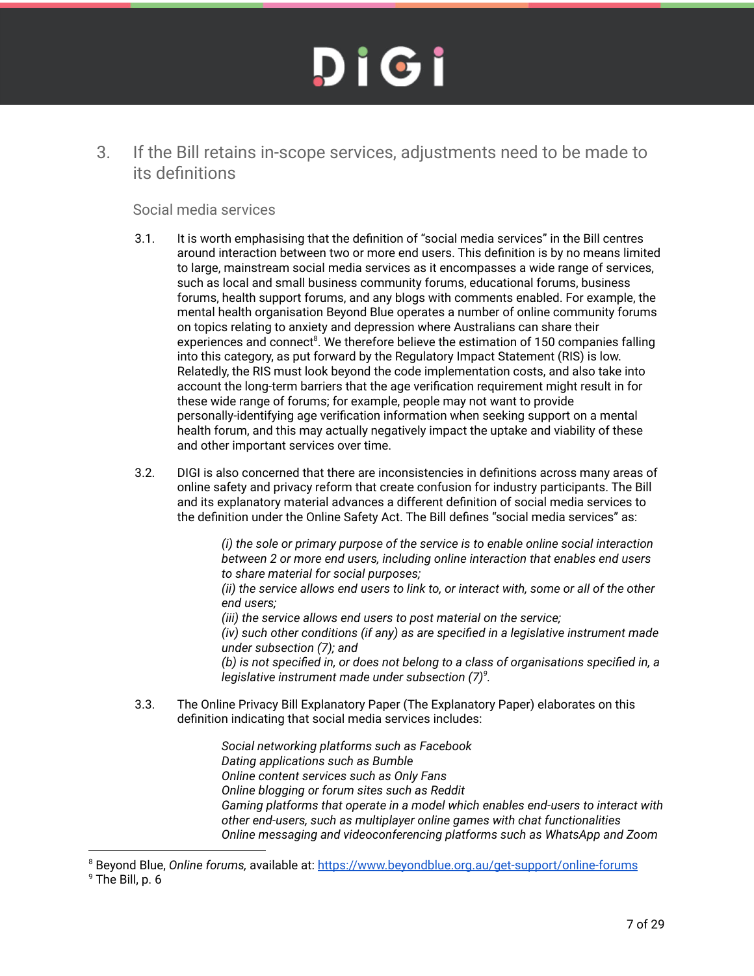3. If the Bill retains in-scope services, adjustments need to be made to its definitions

#### Social media services

- 3.1. It is worth emphasising that the definition of "social media services" in the Bill centres around interaction between two or more end users. This definition is by no means limited to large, mainstream social media services as it encompasses a wide range of services, such as local and small business community forums, educational forums, business forums, health support forums, and any blogs with comments enabled. For example, the mental health organisation Beyond Blue operates a number of online community forums on topics relating to anxiety and depression where Australians can share their experiences and connect<sup>8</sup>. We therefore believe the estimation of 150 companies falling into this category, as put forward by the Regulatory Impact Statement (RIS) is low. Relatedly, the RIS must look beyond the code implementation costs, and also take into account the long-term barriers that the age verification requirement might result in for these wide range of forums; for example, people may not want to provide personally-identifying age verification information when seeking support on a mental health forum, and this may actually negatively impact the uptake and viability of these and other important services over time.
- 3.2. DIGI is also concerned that there are inconsistencies in definitions across many areas of online safety and privacy reform that create confusion for industry participants. The Bill and its explanatory material advances a different definition of social media services to the definition under the Online Safety Act. The Bill defines "social media services" as:

*(i) the sole or primary purpose of the service is to enable online social interaction between 2 or more end users, including online interaction that enables end users to share material for social purposes;*

*(ii) the service allows end users to link to, or interact with, some or all of the other end users;*

*(iii) the service allows end users to post material on the service;*

*(iv) such other conditions (if any) as are specified in a legislative instrument made under subsection (7); and*

*(b) is not specified in, or does not belong to a class of organisations specified in, a legislative instrument made under subsection (7)<sup>9</sup> .*

3.3. The Online Privacy Bill Explanatory Paper (The Explanatory Paper) elaborates on this definition indicating that social media services includes:

> *Social networking platforms such as Facebook Dating applications such as Bumble Online content services such as Only Fans Online blogging or forum sites such as Reddit Gaming platforms that operate in a model which enables end-users to interact with other end-users, such as multiplayer online games with chat functionalities Online messaging and videoconferencing platforms such as WhatsApp and Zoom*

<sup>8</sup> Beyond Blue, *Online forums,* available at: https://www.beyondblue.org.au/get-support/online-forums

<sup>9</sup> The Bill, p. 6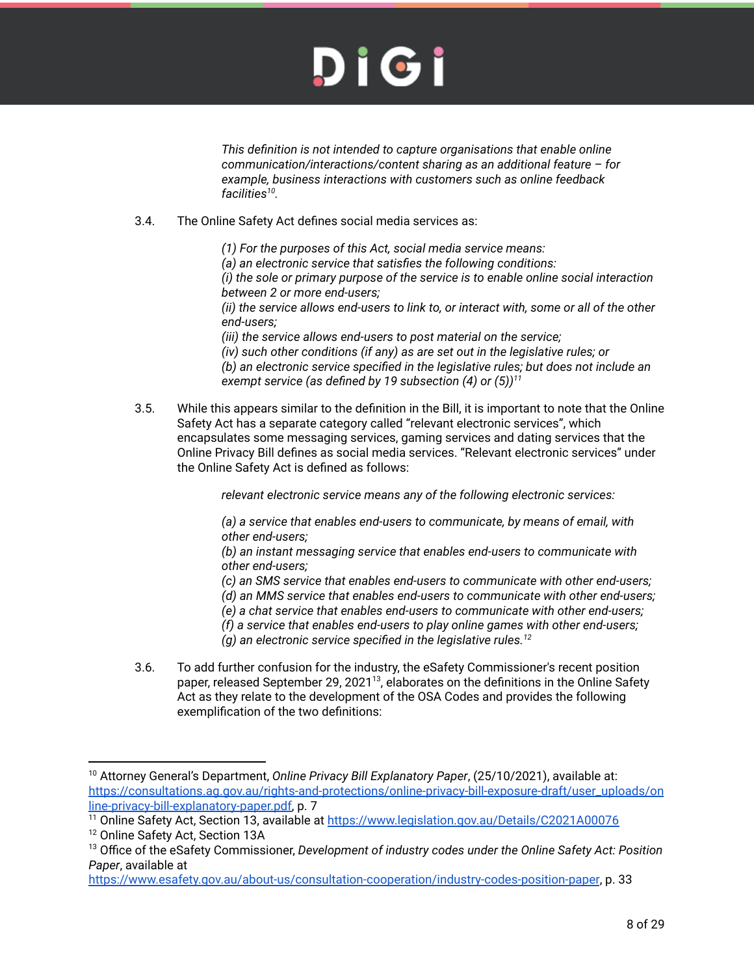*This definition is not intended to capture organisations that enable online communication/interactions/content sharing as an additional feature – for example, business interactions with customers such as online feedback facilities<sup>10</sup> .*

- 3.4. The Online Safety Act defines social media services as:
	- *(1) For the purposes of this Act, social media service means:*
	- *(a) an electronic service that satisfies the following conditions:*

*(i) the sole or primary purpose of the service is to enable online social interaction between 2 or more end-users;*

*(ii) the service allows end-users to link to, or interact with, some or all of the other end-users;*

*(iii) the service allows end-users to post material on the service;*

*(iv) such other conditions (if any) as are set out in the legislative rules; or (b) an electronic service specified in the legislative rules; but does not include an exempt service (as defined by 19 subsection (4) or (5))<sup>11</sup>*

3.5. While this appears similar to the definition in the Bill, it is important to note that the Online Safety Act has a separate category called "relevant electronic services", which encapsulates some messaging services, gaming services and dating services that the Online Privacy Bill defines as social media services. "Relevant electronic services" under the Online Safety Act is defined as follows:

*relevant electronic service means any of the following electronic services:*

*(a) a service that enables end-users to communicate, by means of email, with other end-users;*

*(b) an instant messaging service that enables end-users to communicate with other end-users;*

*(c) an SMS service that enables end-users to communicate with other end-users;*

*(d) an MMS service that enables end-users to communicate with other end-users;*

*(e) a chat service that enables end-users to communicate with other end-users;*

*(f) a service that enables end-users to play online games with other end-users;*

*(g) an electronic service specified in the legislative rules.<sup>12</sup>*

3.6. To add further confusion for the industry, the eSafety Commissioner's recent position paper, released September 29, 2021<sup>13</sup>, elaborates on the definitions in the Online Safety Act as they relate to the development of the OSA Codes and provides the following exemplification of the two definitions:

<sup>10</sup> Attorney General's Department, *Online Privacy Bill Explanatory Paper*, (25/10/2021), available at: https://consultations.ag.gov.au/rights-and-protections/online-privacy-bill-exposure-draft/user\_uploads/on line-privacy-bill-explanatory-paper.pdf, p. 7

<sup>&</sup>lt;sup>11</sup> Online Safety Act, Section 13, available at https://www.legislation.gov.au/Details/C2021A00076

<sup>&</sup>lt;sup>12</sup> Online Safety Act, Section 13A

<sup>13</sup> Office of the eSafety Commissioner, *Development of industry codes under the Online Safety Act: Position Paper*, available at

https://www.esafety.gov.au/about-us/consultation-cooperation/industry-codes-position-paper, p. 33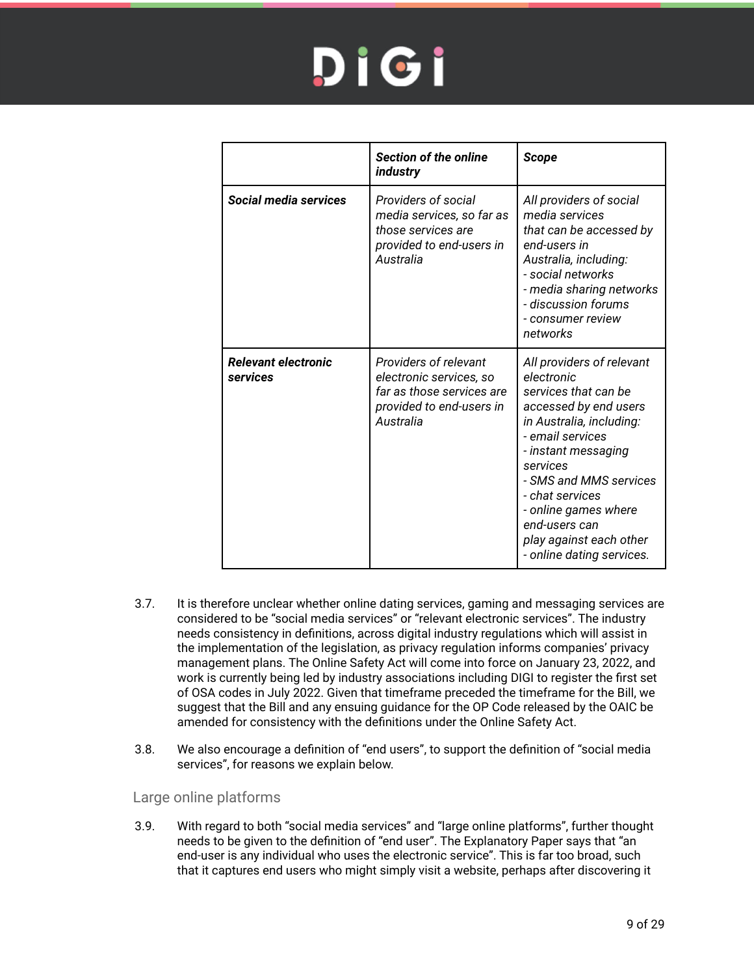|                                        | <b>Section of the online</b><br>industry                                                                               | <b>Scope</b>                                                                                                                                                                                                                                                                                                              |
|----------------------------------------|------------------------------------------------------------------------------------------------------------------------|---------------------------------------------------------------------------------------------------------------------------------------------------------------------------------------------------------------------------------------------------------------------------------------------------------------------------|
| Social media services                  | Providers of social<br>media services, so far as<br>those services are<br>provided to end-users in<br>Australia        | All providers of social<br>media services<br>that can be accessed by<br>end-users in<br>Australia, including:<br>- social networks<br>- media sharing networks<br>- discussion forums<br>- consumer review<br>networks                                                                                                    |
| <b>Relevant electronic</b><br>services | Providers of relevant<br>electronic services, so<br>far as those services are<br>provided to end-users in<br>Australia | All providers of relevant<br>electronic<br>services that can be<br>accessed by end users<br>in Australia, including:<br>- email services<br>- instant messaging<br>services<br>- SMS and MMS services<br>- chat services<br>- online games where<br>end-users can<br>play against each other<br>- online dating services. |

- 3.7. It is therefore unclear whether online dating services, gaming and messaging services are considered to be "social media services" or "relevant electronic services". The industry needs consistency in definitions, across digital industry regulations which will assist in the implementation of the legislation, as privacy regulation informs companies' privacy management plans. The Online Safety Act will come into force on January 23, 2022, and work is currently being led by industry associations including DIGI to register the first set of OSA codes in July 2022. Given that timeframe preceded the timeframe for the Bill, we suggest that the Bill and any ensuing guidance for the OP Code released by the OAIC be amended for consistency with the definitions under the Online Safety Act.
- 3.8. We also encourage a definition of "end users", to support the definition of "social media services", for reasons we explain below.

#### Large online platforms

3.9. With regard to both "social media services" and "large online platforms", further thought needs to be given to the definition of "end user". The Explanatory Paper says that "an end-user is any individual who uses the electronic service". This is far too broad, such that it captures end users who might simply visit a website, perhaps after discovering it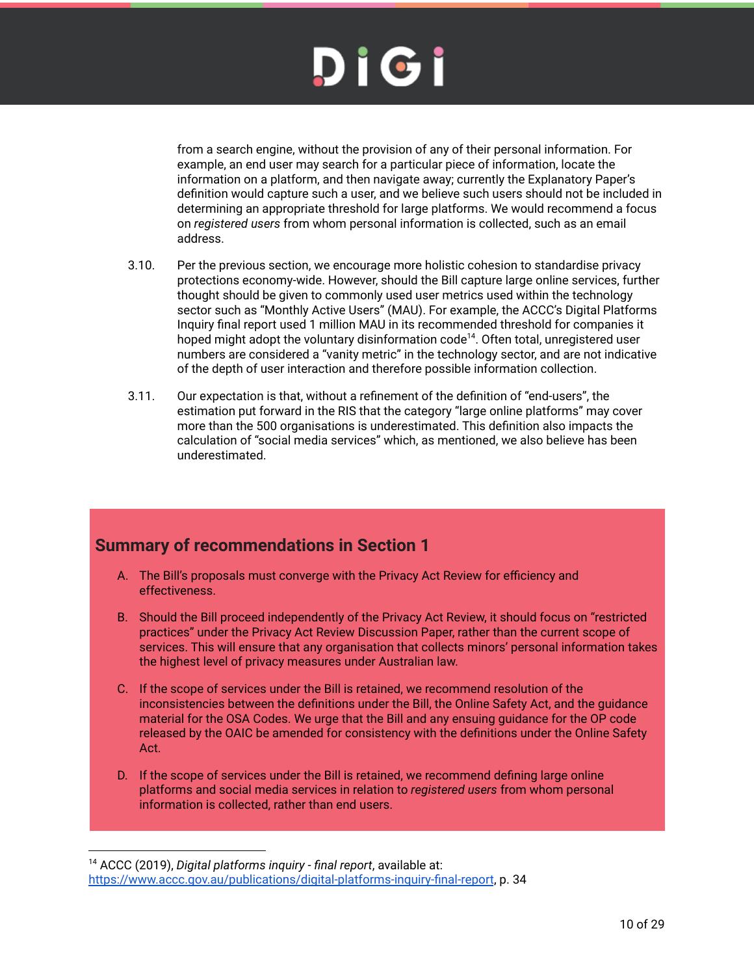from a search engine, without the provision of any of their personal information. For example, an end user may search for a particular piece of information, locate the information on a platform, and then navigate away; currently the Explanatory Paper's definition would capture such a user, and we believe such users should not be included in determining an appropriate threshold for large platforms. We would recommend a focus on *registered users* from whom personal information is collected, such as an email address.

- 3.10. Per the previous section, we encourage more holistic cohesion to standardise privacy protections economy-wide. However, should the Bill capture large online services, further thought should be given to commonly used user metrics used within the technology sector such as "Monthly Active Users" (MAU). For example, the ACCC's Digital Platforms Inquiry final report used 1 million MAU in its recommended threshold for companies it hoped might adopt the voluntary disinformation code<sup>14</sup>. Often total, unregistered user numbers are considered a "vanity metric" in the technology sector, and are not indicative of the depth of user interaction and therefore possible information collection.
- 3.11. Our expectation is that, without a refinement of the definition of "end-users", the estimation put forward in the RIS that the category "large online platforms" may cover more than the 500 organisations is underestimated. This definition also impacts the calculation of "social media services" which, as mentioned, we also believe has been underestimated.

#### **Summary of recommendations in Section 1**

- A. The Bill's proposals must converge with the Privacy Act Review for efficiency and effectiveness.
- B. Should the Bill proceed independently of the Privacy Act Review, it should focus on "restricted practices" under the Privacy Act Review Discussion Paper, rather than the current scope of services. This will ensure that any organisation that collects minors' personal information takes the highest level of privacy measures under Australian law.
- C. If the scope of services under the Bill is retained, we recommend resolution of the inconsistencies between the definitions under the Bill, the Online Safety Act, and the guidance material for the OSA Codes. We urge that the Bill and any ensuing guidance for the OP code released by the OAIC be amended for consistency with the definitions under the Online Safety Act.
- D. If the scope of services under the Bill is retained, we recommend defining large online platforms and social media services in relation to *registered users* from whom personal information is collected, rather than end users.

<sup>14</sup> ACCC (2019), *Digital platforms inquiry - final report*, available at: https://www.accc.gov.au/publications/digital-platforms-inquiry-final-report, p. 34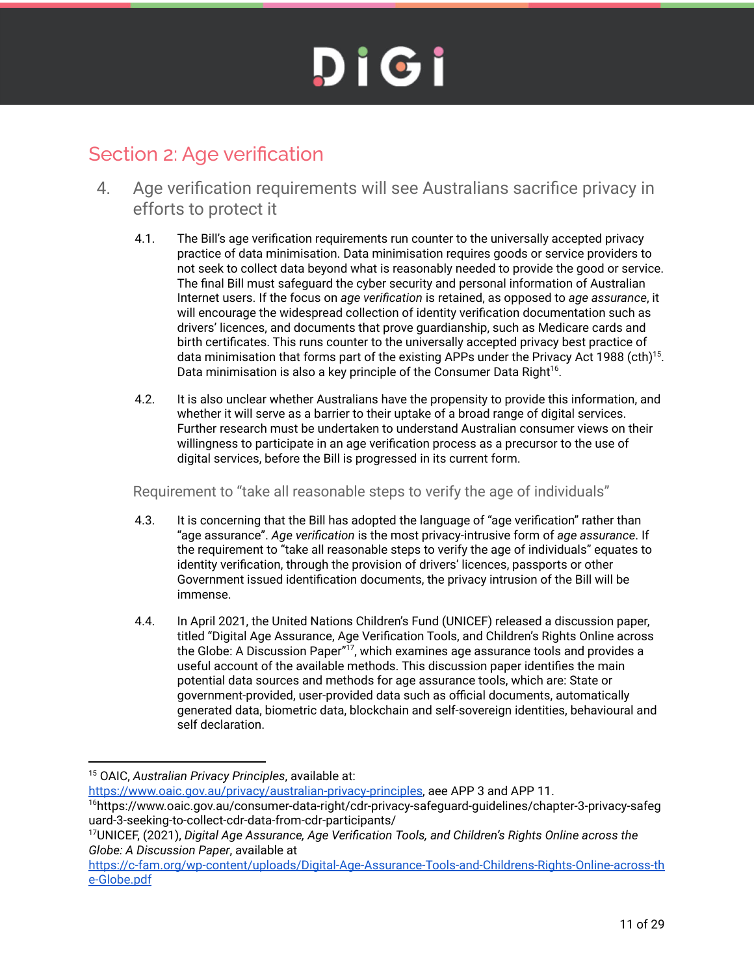#### Section 2: Age verification

- 4. Age verification requirements will see Australians sacrifice privacy in efforts to protect it
	- 4.1. The Bill's age verification requirements run counter to the universally accepted privacy practice of data minimisation. Data minimisation requires goods or service providers to not seek to collect data beyond what is reasonably needed to provide the good or service. The final Bill must safeguard the cyber security and personal information of Australian Internet users. If the focus on *age verification* is retained, as opposed to *age assurance*, it will encourage the widespread collection of identity verification documentation such as drivers' licences, and documents that prove guardianship, such as Medicare cards and birth certificates. This runs counter to the universally accepted privacy best practice of data minimisation that forms part of the existing APPs under the Privacy Act 1988 (cth)<sup>15</sup>. Data minimisation is also a key principle of the Consumer Data Right<sup>16</sup>.
	- 4.2. It is also unclear whether Australians have the propensity to provide this information, and whether it will serve as a barrier to their uptake of a broad range of digital services. Further research must be undertaken to understand Australian consumer views on their willingness to participate in an age verification process as a precursor to the use of digital services, before the Bill is progressed in its current form.

Requirement to "take all reasonable steps to verify the age of individuals"

- 4.3. It is concerning that the Bill has adopted the language of "age verification" rather than "age assurance". *Age verification* is the most privacy-intrusive form of *age assurance*. If the requirement to "take all reasonable steps to verify the age of individuals" equates to identity verification, through the provision of drivers' licences, passports or other Government issued identification documents, the privacy intrusion of the Bill will be immense.
- 4.4. In April 2021, the United Nations Children's Fund (UNICEF) released a discussion paper, titled "Digital Age Assurance, Age Verification Tools, and Children's Rights Online across the Globe: A Discussion Paper"<sup>17</sup>, which examines age assurance tools and provides a useful account of the available methods. This discussion paper identifies the main potential data sources and methods for age assurance tools, which are: State or government-provided, user-provided data such as official documents, automatically generated data, biometric data, blockchain and self-sovereign identities, behavioural and self declaration.

<sup>16</sup>https://www.oaic.gov.au/consumer-data-right/cdr-privacy-safeguard-guidelines/chapter-3-privacy-safeg uard-3-seeking-to-collect-cdr-data-from-cdr-participants/ https://www.oaic.gov.au/privacy/australian-privacy-principles, aee APP 3 and APP 11.

<sup>15</sup> OAIC, *Australian Privacy Principles*, available at:

<sup>17</sup>UNICEF, (2021), *Digital Age Assurance, Age Verification Tools, and Children's Rights Online across the Globe: A Discussion Paper*, available at

https://c-fam.org/wp-content/uploads/Digital-Age-Assurance-Tools-and-Childrens-Rights-Online-across-th e-Globe.pdf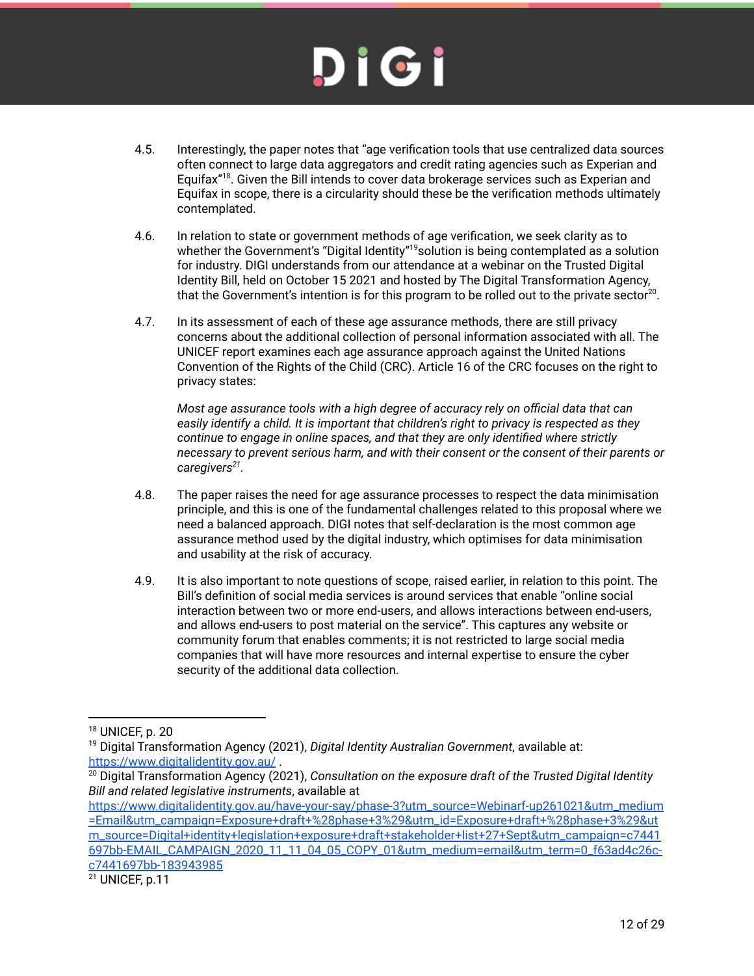- 4.5. Interestingly, the paper notes that "age verification tools that use centralized data sources often connect to large data aggregators and credit rating agencies such as Experian and Equifax"<sup>18</sup>. Given the Bill intends to cover data brokerage services such as Experian and Equifax in scope, there is a circularity should these be the verification methods ultimately contemplated.
- 4.6. In relation to state or government methods of age verification, we seek clarity as to whether the Government's "Digital Identity"<sup>19</sup>solution is being contemplated as a solution for industry. DIGI understands from our attendance at a webinar on the Trusted Digital Identity Bill, held on October 15 2021 and hosted by The Digital Transformation Agency, that the Government's intention is for this program to be rolled out to the private sector<sup>20</sup>.
- 4.7. In its assessment of each of these age assurance methods, there are still privacy concerns about the additional collection of personal information associated with all. The UNICEF report examines each age assurance approach against the United Nations Convention of the Rights of the Child (CRC). Article 16 of the CRC focuses on the right to privacy states:

*Most age assurance tools with a high degree of accuracy rely on official data that can easily identify a child. It is important that children's right to privacy is respected as they continue to engage in online spaces, and that they are only identified where strictly necessary to prevent serious harm, and with their consent or the consent of their parents or caregivers<sup>21</sup> .*

- 4.8. The paper raises the need for age assurance processes to respect the data minimisation principle, and this is one of the fundamental challenges related to this proposal where we need a balanced approach. DIGI notes that self-declaration is the most common age assurance method used by the digital industry, which optimises for data minimisation and usability at the risk of accuracy.
- 4.9. It is also important to note questions of scope, raised earlier, in relation to this point. The Bill's definition of social media services is around services that enable "online social interaction between two or more end-users, and allows interactions between end-users, and allows end-users to post material on the service". This captures any website or community forum that enables comments; it is not restricted to large social media companies that will have more resources and internal expertise to ensure the cyber security of the additional data collection.

https://www.digitalidentity.gov.au/have-your-say/phase-3?utm\_source=Webinarf-up261021&utm\_medium =Email&utm\_campaign=Exposure+draft+%28phase+3%29&utm\_id=Exposure+draft+%28phase+3%29&ut m\_source=Digital+identity+legislation+exposure+draft+stakeholder+list+27+Sept&utm\_campaign=c7441 697bb-EMAIL\_CAMPAIGN\_2020\_11\_11\_04\_05\_COPY\_01&utm\_medium=email&utm\_term=0\_f63ad4c26cc7441697bb-183943985

<sup>18</sup> UNICEF, p. 20

<sup>19</sup> Digital Transformation Agency (2021), *Digital Identity Australian Government*, available at: https://www.digitalidentity.gov.au/.

<sup>20</sup> Digital Transformation Agency (2021), *Consultation on the exposure draft of the Trusted Digital Identity Bill and related legislative instruments*, available at

<sup>21</sup> UNICEF, p.11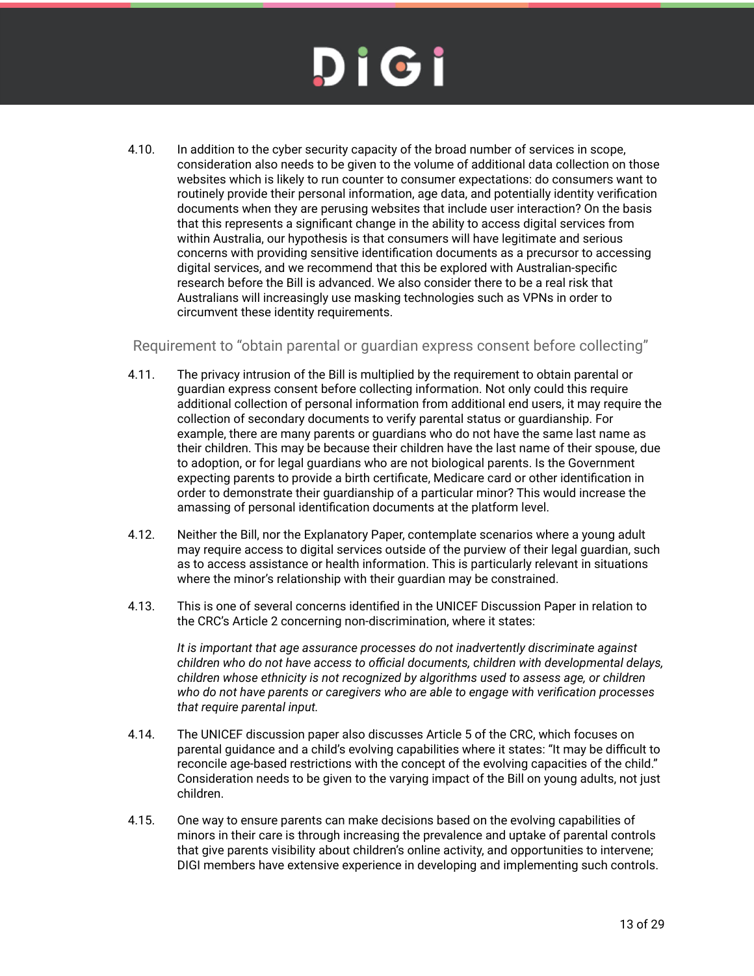4.10. In addition to the cyber security capacity of the broad number of services in scope, consideration also needs to be given to the volume of additional data collection on those websites which is likely to run counter to consumer expectations: do consumers want to routinely provide their personal information, age data, and potentially identity verification documents when they are perusing websites that include user interaction? On the basis that this represents a significant change in the ability to access digital services from within Australia, our hypothesis is that consumers will have legitimate and serious concerns with providing sensitive identification documents as a precursor to accessing digital services, and we recommend that this be explored with Australian-specific research before the Bill is advanced. We also consider there to be a real risk that Australians will increasingly use masking technologies such as VPNs in order to circumvent these identity requirements.

Requirement to "obtain parental or guardian express consent before collecting"

- 4.11. The privacy intrusion of the Bill is multiplied by the requirement to obtain parental or guardian express consent before collecting information. Not only could this require additional collection of personal information from additional end users, it may require the collection of secondary documents to verify parental status or guardianship. For example, there are many parents or guardians who do not have the same last name as their children. This may be because their children have the last name of their spouse, due to adoption, or for legal guardians who are not biological parents. Is the Government expecting parents to provide a birth certificate, Medicare card or other identification in order to demonstrate their guardianship of a particular minor? This would increase the amassing of personal identification documents at the platform level.
- 4.12. Neither the Bill, nor the Explanatory Paper, contemplate scenarios where a young adult may require access to digital services outside of the purview of their legal guardian, such as to access assistance or health information. This is particularly relevant in situations where the minor's relationship with their guardian may be constrained.
- 4.13. This is one of several concerns identified in the UNICEF Discussion Paper in relation to the CRC's Article 2 concerning non-discrimination, where it states:

*It is important that age assurance processes do not inadvertently discriminate against children who do not have access to official documents, children with developmental delays, children whose ethnicity is not recognized by algorithms used to assess age, or children who do not have parents or caregivers who are able to engage with verification processes that require parental input.*

- 4.14. The UNICEF discussion paper also discusses Article 5 of the CRC, which focuses on parental guidance and a child's evolving capabilities where it states: "It may be difficult to reconcile age-based restrictions with the concept of the evolving capacities of the child." Consideration needs to be given to the varying impact of the Bill on young adults, not just children.
- 4.15. One way to ensure parents can make decisions based on the evolving capabilities of minors in their care is through increasing the prevalence and uptake of parental controls that give parents visibility about children's online activity, and opportunities to intervene; DIGI members have extensive experience in developing and implementing such controls.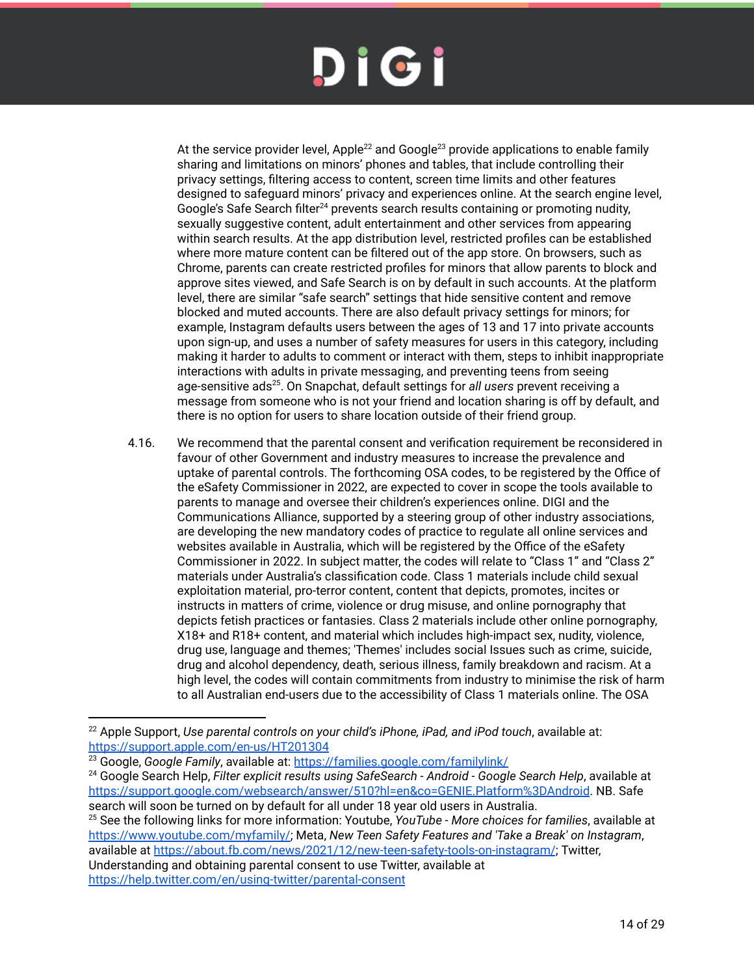At the service provider level, Apple<sup>22</sup> and Google<sup>23</sup> provide applications to enable family sharing and limitations on minors' phones and tables, that include controlling their privacy settings, filtering access to content, screen time limits and other features designed to safeguard minors' privacy and experiences online. At the search engine level, Google's Safe Search filter<sup>24</sup> prevents search results containing or promoting nudity, sexually suggestive content, adult entertainment and other services from appearing within search results. At the app distribution level, restricted profiles can be established where more mature content can be filtered out of the app store. On browsers, such as Chrome, parents can create restricted profiles for minors that allow parents to block and approve sites viewed, and Safe Search is on by default in such accounts. At the platform level, there are similar "safe search" settings that hide sensitive content and remove blocked and muted accounts. There are also default privacy settings for minors; for example, Instagram defaults users between the ages of 13 and 17 into private accounts upon sign-up, and uses a number of safety measures for users in this category, including making it harder to adults to comment or interact with them, steps to inhibit inappropriate interactions with adults in private messaging, and preventing teens from seeing age-sensitive ads<sup>25</sup>. On Snapchat, default settings for *all users* prevent receiving a message from someone who is not your friend and location sharing is off by default, and there is no option for users to share location outside of their friend group.

4.16. We recommend that the parental consent and verification requirement be reconsidered in favour of other Government and industry measures to increase the prevalence and uptake of parental controls. The forthcoming OSA codes, to be registered by the Office of the eSafety Commissioner in 2022, are expected to cover in scope the tools available to parents to manage and oversee their children's experiences online. DIGI and the Communications Alliance, supported by a steering group of other industry associations, are developing the new mandatory codes of practice to regulate all online services and websites available in Australia, which will be registered by the Office of the eSafety Commissioner in 2022. In subject matter, the codes will relate to "Class 1" and "Class 2" materials under Australia's classification code. Class 1 materials include child sexual exploitation material, pro-terror content, content that depicts, promotes, incites or instructs in matters of crime, violence or drug misuse, and online pornography that depicts fetish practices or fantasies. Class 2 materials include other online pornography, X18+ and R18+ content, and material which includes high-impact sex, nudity, violence, drug use, language and themes; 'Themes' includes social Issues such as crime, suicide, drug and alcohol dependency, death, serious illness, family breakdown and racism. At a high level, the codes will contain commitments from industry to minimise the risk of harm to all Australian end-users due to the accessibility of Class 1 materials online. The OSA

<sup>25</sup> See the following links for more information: Youtube, *YouTube - More choices for families*, available at https://www.youtube.com/myfamily/; Meta, *New Teen Safety Features and 'Take a Break' on Instagram*, available at https://about.fb.com/news/2021/12/new-teen-safety-tools-on-instagram/; Twitter, Understanding and obtaining parental consent to use Twitter, available at https://help.twitter.com/en/using-twitter/parental-consent

<sup>22</sup> Apple Support, *Use parental controls on your child's iPhone, iPad, and iPod touch*, available at: https://support.apple.com/en-us/HT201304

<sup>23</sup> Google, *Google Family*, available at: https://families.google.com/familylink/

<sup>24</sup> Google Search Help, *Filter explicit results using SafeSearch - Android - Google Search Help*, available at https://support.google.com/websearch/answer/510?hl=en&co=GENIE.Platform%3DAndroid. NB. Safe search will soon be turned on by default for all under 18 year old users in Australia.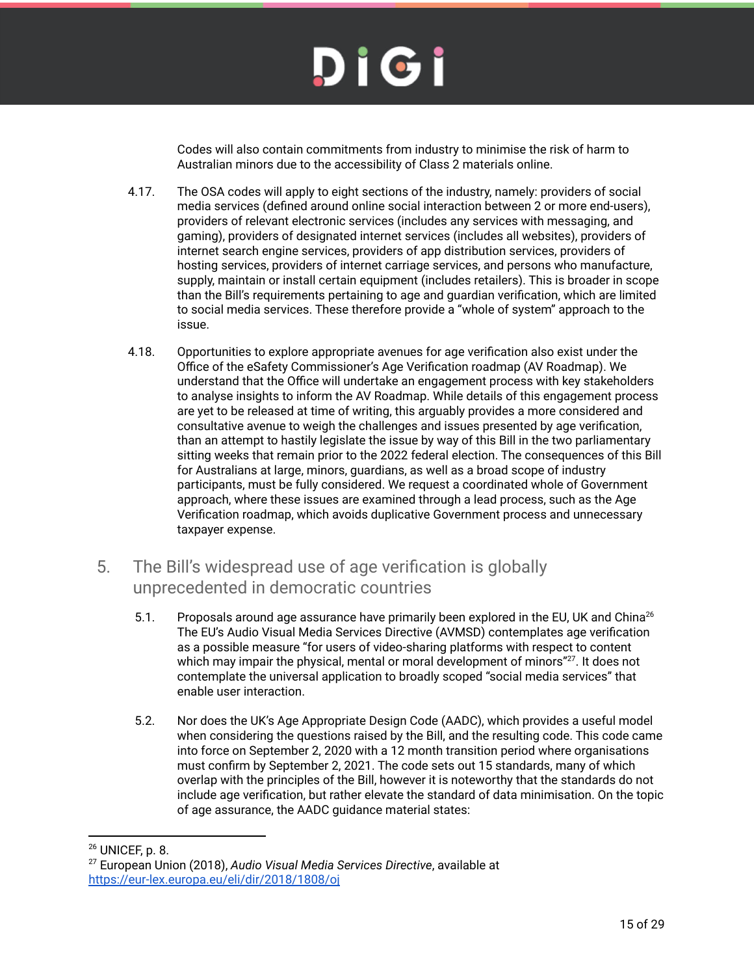Codes will also contain commitments from industry to minimise the risk of harm to Australian minors due to the accessibility of Class 2 materials online.

- 4.17. The OSA codes will apply to eight sections of the industry, namely: providers of social media services (defined around online social interaction between 2 or more end‑users), providers of relevant electronic services (includes any services with messaging, and gaming), providers of designated internet services (includes all websites), providers of internet search engine services, providers of app distribution services, providers of hosting services, providers of internet carriage services, and persons who manufacture, supply, maintain or install certain equipment (includes retailers). This is broader in scope than the Bill's requirements pertaining to age and guardian verification, which are limited to social media services. These therefore provide a "whole of system" approach to the issue.
- 4.18. Opportunities to explore appropriate avenues for age verification also exist under the Office of the eSafety Commissioner's Age Verification roadmap (AV Roadmap). We understand that the Office will undertake an engagement process with key stakeholders to analyse insights to inform the AV Roadmap. While details of this engagement process are yet to be released at time of writing, this arguably provides a more considered and consultative avenue to weigh the challenges and issues presented by age verification, than an attempt to hastily legislate the issue by way of this Bill in the two parliamentary sitting weeks that remain prior to the 2022 federal election. The consequences of this Bill for Australians at large, minors, guardians, as well as a broad scope of industry participants, must be fully considered. We request a coordinated whole of Government approach, where these issues are examined through a lead process, such as the Age Verification roadmap, which avoids duplicative Government process and unnecessary taxpayer expense.
- 5. The Bill's widespread use of age verification is globally unprecedented in democratic countries
	- 5.1. Proposals around age assurance have primarily been explored in the EU, UK and China<sup>26</sup> The EU's Audio Visual Media Services Directive (AVMSD) contemplates age verification as a possible measure "for users of video-sharing platforms with respect to content which may impair the physical, mental or moral development of minors"<sup>27</sup>. It does not contemplate the universal application to broadly scoped "social media services" that enable user interaction.
	- 5.2. Nor does the UK's Age Appropriate Design Code (AADC), which provides a useful model when considering the questions raised by the Bill, and the resulting code. This code came into force on September 2, 2020 with a 12 month transition period where organisations must confirm by September 2, 2021. The code sets out 15 standards, many of which overlap with the principles of the Bill, however it is noteworthy that the standards do not include age verification, but rather elevate the standard of data minimisation. On the topic of age assurance, the AADC guidance material states:

<sup>26</sup> UNICEF, p. 8.

<sup>27</sup> European Union (2018), *Audio Visual Media Services Directive*, available at https://eur-lex.europa.eu/eli/dir/2018/1808/oj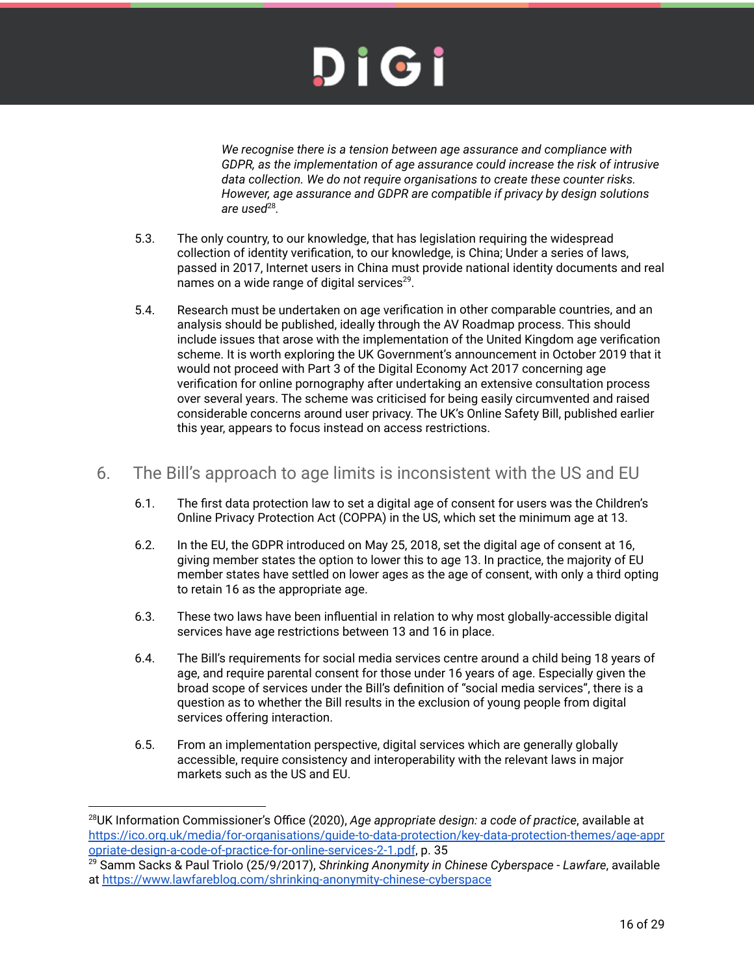*We recognise there is a tension between age assurance and compliance with GDPR, as the implementation of age assurance could increase the risk of intrusive data collection. We do not require organisations to create these counter risks. However, age assurance and GDPR are compatible if privacy by design solutions are used*<sup>28</sup> *.*

- 5.3. The only country, to our knowledge, that has legislation requiring the widespread collection of identity verification, to our knowledge, is China; Under a series of laws, passed in 2017, Internet users in China must provide national identity documents and real names on a wide range of digital services $^{29}$ .
- 5.4. Research must be undertaken on age verification in other comparable countries, and an analysis should be published, ideally through the AV Roadmap process. This should include issues that arose with the implementation of the United Kingdom age verification scheme. It is worth exploring the UK Government's announcement in October 2019 that it would not proceed with Part 3 of the Digital Economy Act 2017 concerning age verification for online pornography after undertaking an extensive consultation process over several years. The scheme was criticised for being easily circumvented and raised considerable concerns around user privacy. The UK's Online Safety Bill, published earlier this year, appears to focus instead on access restrictions.

#### 6. The Bill's approach to age limits is inconsistent with the US and EU

- 6.1. The first data protection law to set a digital age of consent for users was the Children's Online Privacy Protection Act (COPPA) in the US, which set the minimum age at 13.
- 6.2. In the EU, the GDPR introduced on May 25, 2018, set the digital age of consent at 16, giving member states the option to lower this to age 13. In practice, the majority of EU member states have settled on lower ages as the age of consent, with only a third opting to retain 16 as the appropriate age.
- 6.3. These two laws have been influential in relation to why most globally-accessible digital services have age restrictions between 13 and 16 in place.
- 6.4. The Bill's requirements for social media services centre around a child being 18 years of age, and require parental consent for those under 16 years of age. Especially given the broad scope of services under the Bill's definition of "social media services", there is a question as to whether the Bill results in the exclusion of young people from digital services offering interaction.
- 6.5. From an implementation perspective, digital services which are generally globally accessible, require consistency and interoperability with the relevant laws in major markets such as the US and EU.

<sup>28</sup>UK Information Commissioner's Office (2020), *Age appropriate design: a code of practice*, available at https://ico.org.uk/media/for-organisations/guide-to-data-protection/key-data-protection-themes/age-appr opriate-design-a-code-of-practice-for-online-services-2-1.pdf, p. 35

<sup>29</sup> Samm Sacks & Paul Triolo (25/9/2017), *Shrinking Anonymity in Chinese Cyberspace - Lawfare*, available at https://www.lawfareblog.com/shrinking-anonymity-chinese-cyberspace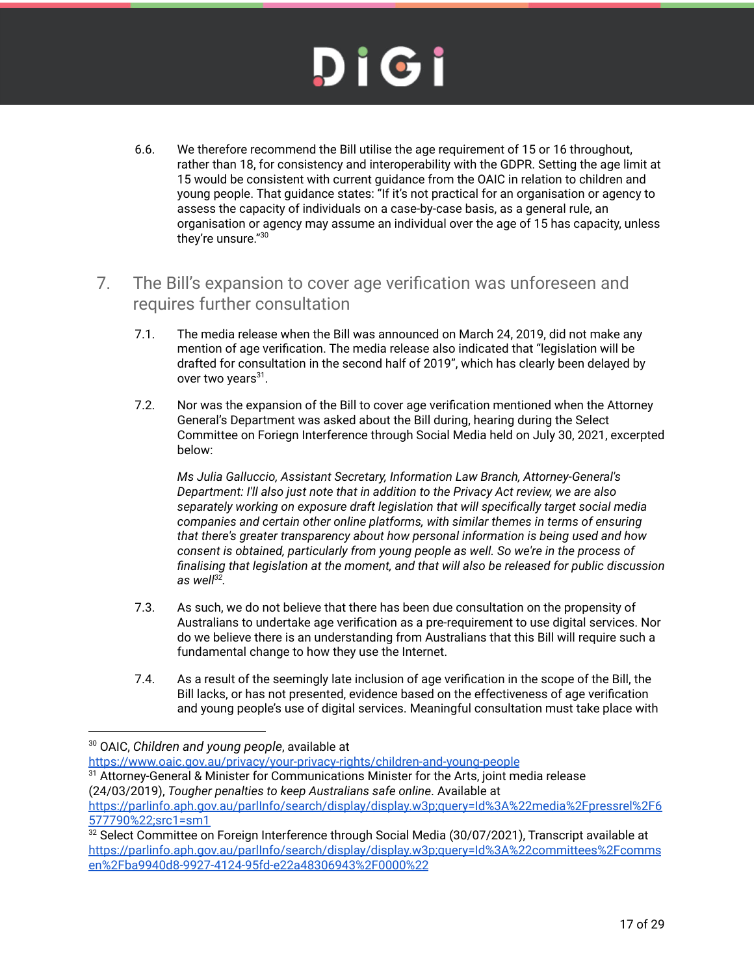- 6.6. We therefore recommend the Bill utilise the age requirement of 15 or 16 throughout, rather than 18, for consistency and interoperability with the GDPR. Setting the age limit at 15 would be consistent with current guidance from the OAIC in relation to children and young people. That guidance states: "If it's not practical for an organisation or agency to assess the capacity of individuals on a case-by-case basis, as a general rule, an organisation or agency may assume an individual over the age of 15 has capacity, unless they're unsure."<sup>30</sup>
- 7. The Bill's expansion to cover age verification was unforeseen and requires further consultation
	- 7.1. The media release when the Bill was announced on March 24, 2019, did not make any mention of age verification. The media release also indicated that "legislation will be drafted for consultation in the second half of 2019", which has clearly been delayed by over two years<sup>31</sup>.
	- 7.2. Nor was the expansion of the Bill to cover age verification mentioned when the Attorney General's Department was asked about the Bill during, hearing during the Select Committee on Foriegn Interference through Social Media held on July 30, 2021, excerpted below:

*Ms Julia Galluccio, Assistant Secretary, Information Law Branch, Attorney-General's Department: I'll also just note that in addition to the Privacy Act review, we are also separately working on exposure draft legislation that will specifically target social media companies and certain other online platforms, with similar themes in terms of ensuring that there's greater transparency about how personal information is being used and how consent is obtained, particularly from young people as well. So we're in the process of finalising that legislation at the moment, and that will also be released for public discussion as well<sup>32</sup> .*

- 7.3. As such, we do not believe that there has been due consultation on the propensity of Australians to undertake age verification as a pre-requirement to use digital services. Nor do we believe there is an understanding from Australians that this Bill will require such a fundamental change to how they use the Internet.
- 7.4. As a result of the seemingly late inclusion of age verification in the scope of the Bill, the Bill lacks, or has not presented, evidence based on the effectiveness of age verification and young people's use of digital services. Meaningful consultation must take place with

https://www.oaic.gov.au/privacy/your-privacy-rights/children-and-young-people

 $^\mathrm{31}$  Attorney-General & Minister for Communications Minister for the Arts, joint media release (24/03/2019), *Tougher penalties to keep Australians safe online*. Available at

https://parlinfo.aph.gov.au/parlInfo/search/display/display.w3p;query=Id%3A%22media%2Fpressrel%2F6 577790%22;src1=sm1

<sup>30</sup> OAIC, *Children and young people*, available at

<sup>32</sup> Select Committee on Foreign Interference through Social Media (30/07/2021), Transcript available at https://parlinfo.aph.gov.au/parlInfo/search/display/display.w3p;query=Id%3A%22committees%2Fcomms en%2Fba9940d8-9927-4124-95fd-e22a48306943%2F0000%22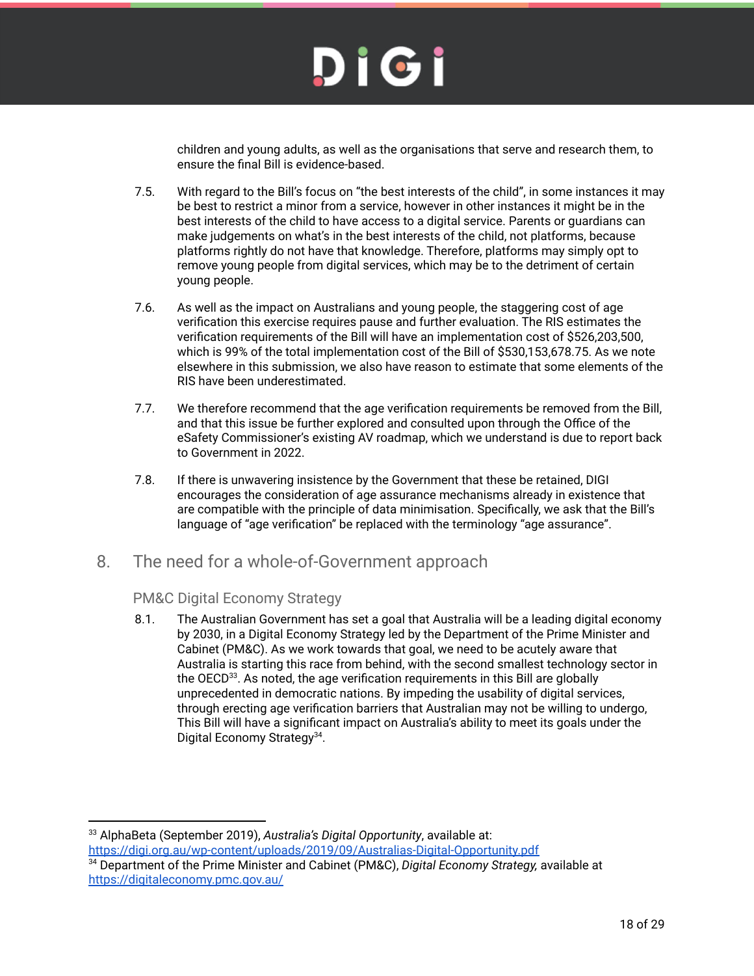children and young adults, as well as the organisations that serve and research them, to ensure the final Bill is evidence-based.

- 7.5. With regard to the Bill's focus on "the best interests of the child", in some instances it may be best to restrict a minor from a service, however in other instances it might be in the best interests of the child to have access to a digital service. Parents or guardians can make judgements on what's in the best interests of the child, not platforms, because platforms rightly do not have that knowledge. Therefore, platforms may simply opt to remove young people from digital services, which may be to the detriment of certain young people.
- 7.6. As well as the impact on Australians and young people, the staggering cost of age verification this exercise requires pause and further evaluation. The RIS estimates the verification requirements of the Bill will have an implementation cost of \$526,203,500, which is 99% of the total implementation cost of the Bill of \$530,153,678.75. As we note elsewhere in this submission, we also have reason to estimate that some elements of the RIS have been underestimated.
- 7.7. We therefore recommend that the age verification requirements be removed from the Bill, and that this issue be further explored and consulted upon through the Office of the eSafety Commissioner's existing AV roadmap, which we understand is due to report back to Government in 2022.
- 7.8. If there is unwavering insistence by the Government that these be retained, DIGI encourages the consideration of age assurance mechanisms already in existence that are compatible with the principle of data minimisation. Specifically, we ask that the Bill's language of "age verification" be replaced with the terminology "age assurance".
- 8. The need for a whole-of-Government approach

#### PM&C Digital Economy Strategy

8.1. The Australian Government has set a goal that Australia will be a leading digital economy by 2030, in a Digital Economy Strategy led by the Department of the Prime Minister and Cabinet (PM&C). As we work towards that goal, we need to be acutely aware that Australia is starting this race from behind, with the second smallest technology sector in the  $OECD<sup>33</sup>$ . As noted, the age verification requirements in this Bill are globally unprecedented in democratic nations. By impeding the usability of digital services, through erecting age verification barriers that Australian may not be willing to undergo, This Bill will have a significant impact on Australia's ability to meet its goals under the Digital Economy Strategy<sup>34</sup>.

<sup>33</sup> AlphaBeta (September 2019), *Australia's Digital Opportunity*, available at: https://digi.org.au/wp-content/uploads/2019/09/Australias-Digital-Opportunity.pdf

<sup>34</sup> Department of the Prime Minister and Cabinet (PM&C), *Digital Economy Strategy,* available at https://digitaleconomy.pmc.gov.au/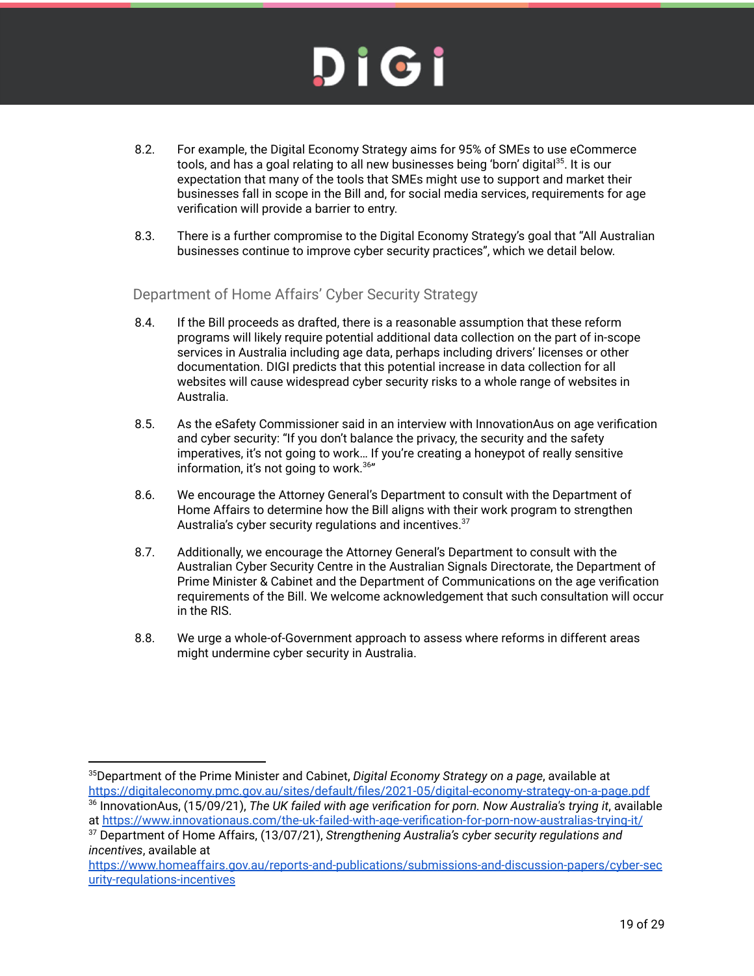- 8.2. For example, the Digital Economy Strategy aims for 95% of SMEs to use eCommerce tools, and has a goal relating to all new businesses being 'born' digital<sup>35</sup>. It is our expectation that many of the tools that SMEs might use to support and market their businesses fall in scope in the Bill and, for social media services, requirements for age verification will provide a barrier to entry.
- 8.3. There is a further compromise to the Digital Economy Strategy's goal that "All Australian businesses continue to improve cyber security practices", which we detail below.

Department of Home Affairs' Cyber Security Strategy

- 8.4. If the Bill proceeds as drafted, there is a reasonable assumption that these reform programs will likely require potential additional data collection on the part of in-scope services in Australia including age data, perhaps including drivers' licenses or other documentation. DIGI predicts that this potential increase in data collection for all websites will cause widespread cyber security risks to a whole range of websites in Australia.
- 8.5. As the eSafety Commissioner said in an interview with InnovationAus on age verification and cyber security: "If you don't balance the privacy, the security and the safety imperatives, it's not going to work… If you're creating a honeypot of really sensitive information, it's not going to work.<sup>36</sup>"
- 8.6. We encourage the Attorney General's Department to consult with the Department of Home Affairs to determine how the Bill aligns with their work program to strengthen Australia's cyber security regulations and incentives.<sup>37</sup>
- 8.7. Additionally, we encourage the Attorney General's Department to consult with the Australian Cyber Security Centre in the Australian Signals Directorate, the Department of Prime Minister & Cabinet and the Department of Communications on the age verification requirements of the Bill. We welcome acknowledgement that such consultation will occur in the RIS.
- 8.8. We urge a whole-of-Government approach to assess where reforms in different areas might undermine cyber security in Australia.

<sup>35</sup>Department of the Prime Minister and Cabinet, *Digital Economy Strategy on a page*, available at

<sup>&</sup>lt;sup>36</sup> InnovationAus, (15/09/21), The UK failed with age verification for porn. Now Australia's trying it, available at https://www.innovationaus.com/the-uk-failed-with-age-verification-for-porn-now-australias-trying-it/ https://digitaleconomy.pmc.gov.au/sites/default/files/2021-05/digital-economy-strategy-on-a-page.pdf

<sup>37</sup> Department of Home Affairs, (13/07/21), *Strengthening Australia's cyber security regulations and incentives*, available at

https://www.homeaffairs.gov.au/reports-and-publications/submissions-and-discussion-papers/cyber-sec urity-regulations-incentives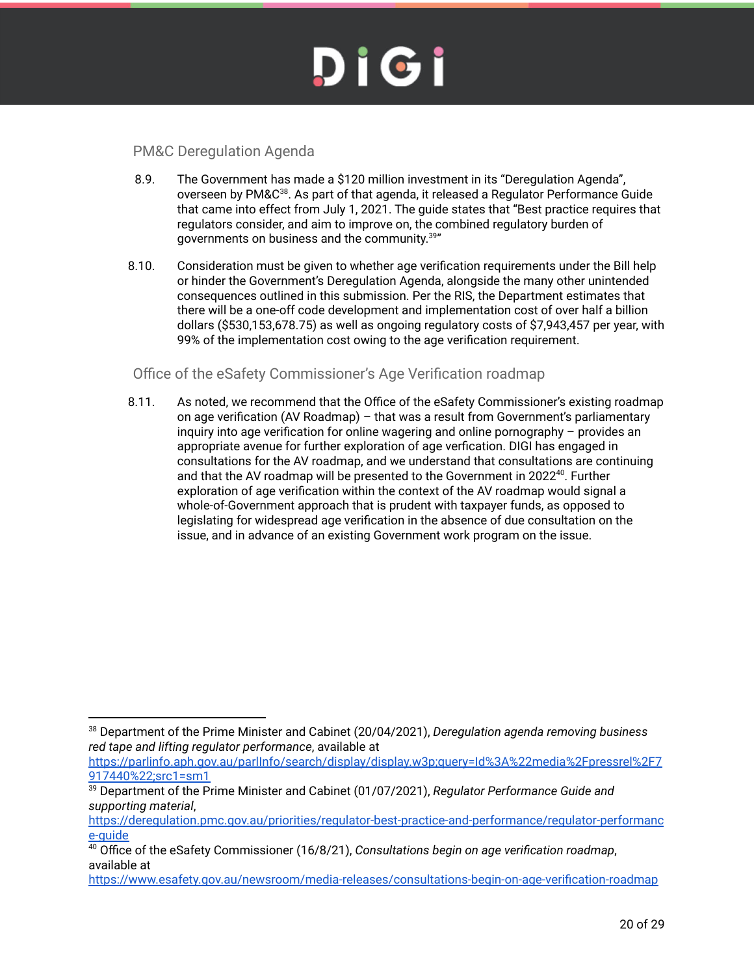#### PM&C Deregulation Agenda

- 8.9. The Government has made a \$120 million investment in its "Deregulation Agenda", overseen by PM&C<sup>38</sup>. As part of that agenda, it released a Regulator Performance Guide that came into effect from July 1, 2021. The guide states that "Best practice requires that regulators consider, and aim to improve on, the combined regulatory burden of governments on business and the community.<sup>39</sup>"
- 8.10. Consideration must be given to whether age verification requirements under the Bill help or hinder the Government's Deregulation Agenda, alongside the many other unintended consequences outlined in this submission. Per the RIS, the Department estimates that there will be a one-off code development and implementation cost of over half a billion dollars (\$530,153,678.75) as well as ongoing regulatory costs of \$7,943,457 per year, with 99% of the implementation cost owing to the age verification requirement.

#### Office of the eSafety Commissioner's Age Verification roadmap

8.11. As noted, we recommend that the Office of the eSafety Commissioner's existing roadmap on age verification (AV Roadmap) – that was a result from Government's parliamentary inquiry into age verification for online wagering and online pornography – provides an appropriate avenue for further exploration of age verfication. DIGI has engaged in consultations for the AV roadmap, and we understand that consultations are continuing and that the AV roadmap will be presented to the Government in 2022<sup>40</sup>. Further exploration of age verification within the context of the AV roadmap would signal a whole-of-Government approach that is prudent with taxpayer funds, as opposed to legislating for widespread age verification in the absence of due consultation on the issue, and in advance of an existing Government work program on the issue.

https://parlinfo.aph.gov.au/parlInfo/search/display/display.w3p;query=Id%3A%22media%2Fpressrel%2F7 917440%22;src1=sm1

<sup>38</sup> Department of the Prime Minister and Cabinet (20/04/2021), *Deregulation agenda removing business red tape and lifting regulator performance*, available at

<sup>39</sup> Department of the Prime Minister and Cabinet (01/07/2021), *Regulator Performance Guide and supporting material*,

https://deregulation.pmc.gov.au/priorities/regulator-best-practice-and-performance/regulator-performanc e-guide

<sup>40</sup> Office of the eSafety Commissioner (16/8/21), *Consultations begin on age verification roadmap*, available at

https://www.esafety.gov.au/newsroom/media-releases/consultations-begin-on-age-verification-roadmap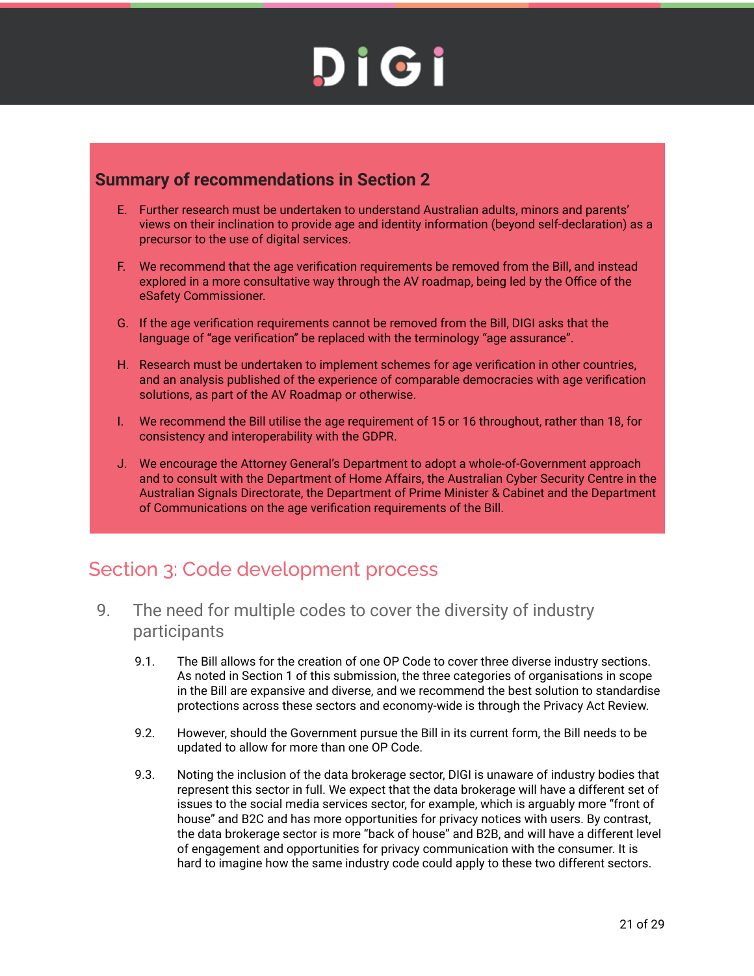#### **Summary of recommendations in Section 2**

- E. Further research must be undertaken to understand Australian adults, minors and parents' views on their inclination to provide age and identity information (beyond self-declaration) as a precursor to the use of digital services.
- F. We recommend that the age verification requirements be removed from the Bill, and instead explored in a more consultative way through the AV roadmap, being led by the Office of the eSafety Commissioner.
- G. If the age verification requirements cannot be removed from the Bill, DIGI asks that the language of "age verification" be replaced with the terminology "age assurance".
- H. Research must be undertaken to implement schemes for age verification in other countries, and an analysis published of the experience of comparable democracies with age verification solutions, as part of the AV Roadmap or otherwise.
- I. We recommend the Bill utilise the age requirement of 15 or 16 throughout, rather than 18, for consistency and interoperability with the GDPR.
- J. We encourage the Attorney General's Department to adopt a whole-of-Government approach and to consult with the Department of Home Affairs, the Australian Cyber Security Centre in the Australian Signals Directorate, the Department of Prime Minister & Cabinet and the Department of Communications on the age verification requirements of the Bill.

#### Section 3: Code development process

- 9. The need for multiple codes to cover the diversity of industry participants
	- 9.1. The Bill allows for the creation of one OP Code to cover three diverse industry sections. As noted in Section 1 of this submission, the three categories of organisations in scope in the Bill are expansive and diverse, and we recommend the best solution to standardise protections across these sectors and economy-wide is through the Privacy Act Review.
	- 9.2. However, should the Government pursue the Bill in its current form, the Bill needs to be updated to allow for more than one OP Code.
	- 9.3. Noting the inclusion of the data brokerage sector, DIGI is unaware of industry bodies that represent this sector in full. We expect that the data brokerage will have a different set of issues to the social media services sector, for example, which is arguably more "front of house" and B2C and has more opportunities for privacy notices with users. By contrast, the data brokerage sector is more "back of house" and B2B, and will have a different level of engagement and opportunities for privacy communication with the consumer. It is hard to imagine how the same industry code could apply to these two different sectors.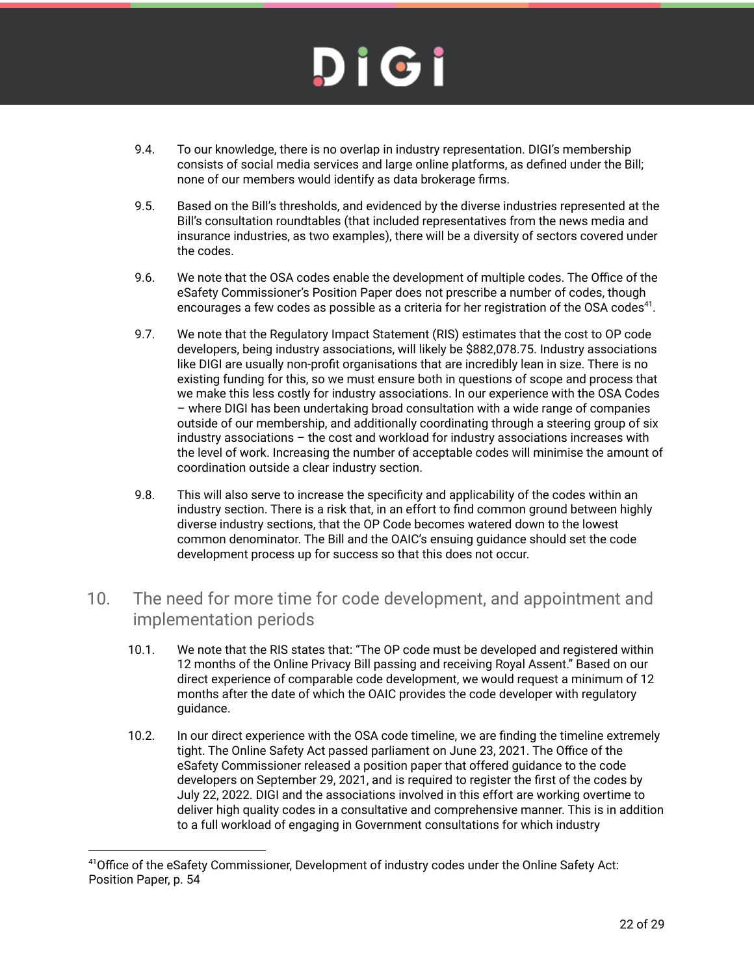- 9.4. To our knowledge, there is no overlap in industry representation. DIGI's membership consists of social media services and large online platforms, as defined under the Bill; none of our members would identify as data brokerage firms.
- 9.5. Based on the Bill's thresholds, and evidenced by the diverse industries represented at the Bill's consultation roundtables (that included representatives from the news media and insurance industries, as two examples), there will be a diversity of sectors covered under the codes.
- 9.6. We note that the OSA codes enable the development of multiple codes. The Office of the eSafety Commissioner's Position Paper does not prescribe a number of codes, though encourages a few codes as possible as a criteria for her registration of the OSA codes $^{41}$ .
- 9.7. We note that the Regulatory Impact Statement (RIS) estimates that the cost to OP code developers, being industry associations, will likely be \$882,078.75. Industry associations like DIGI are usually non-profit organisations that are incredibly lean in size. There is no existing funding for this, so we must ensure both in questions of scope and process that we make this less costly for industry associations. In our experience with the OSA Codes – where DIGI has been undertaking broad consultation with a wide range of companies outside of our membership, and additionally coordinating through a steering group of six industry associations – the cost and workload for industry associations increases with the level of work. Increasing the number of acceptable codes will minimise the amount of coordination outside a clear industry section.
- 9.8. This will also serve to increase the specificity and applicability of the codes within an industry section. There is a risk that, in an effort to find common ground between highly diverse industry sections, that the OP Code becomes watered down to the lowest common denominator. The Bill and the OAIC's ensuing guidance should set the code development process up for success so that this does not occur.

#### 10. The need for more time for code development, and appointment and implementation periods

- 10.1. We note that the RIS states that: "The OP code must be developed and registered within 12 months of the Online Privacy Bill passing and receiving Royal Assent." Based on our direct experience of comparable code development, we would request a minimum of 12 months after the date of which the OAIC provides the code developer with regulatory guidance.
- 10.2. In our direct experience with the OSA code timeline, we are finding the timeline extremely tight. The Online Safety Act passed parliament on June 23, 2021. The Office of the eSafety Commissioner released a position paper that offered guidance to the code developers on September 29, 2021, and is required to register the first of the codes by July 22, 2022. DIGI and the associations involved in this effort are working overtime to deliver high quality codes in a consultative and comprehensive manner. This is in addition to a full workload of engaging in Government consultations for which industry

<sup>41</sup>Office of the eSafety Commissioner, Development of industry codes under the Online Safety Act: Position Paper, p. 54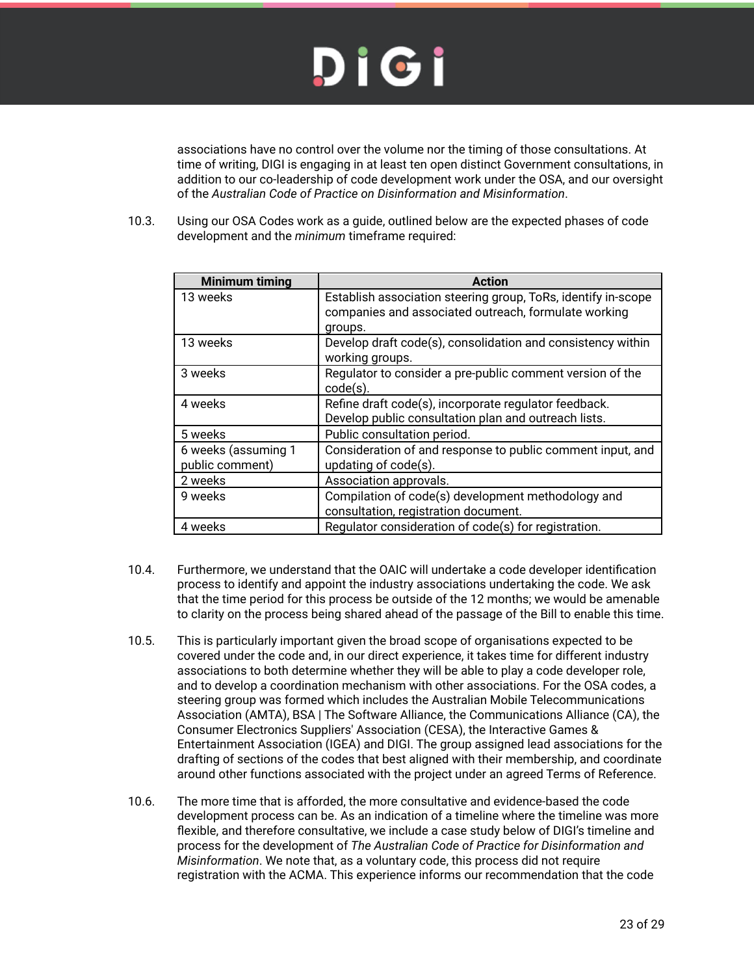associations have no control over the volume nor the timing of those consultations. At time of writing, DIGI is engaging in at least ten open distinct Government consultations, in addition to our co-leadership of code development work under the OSA, and our oversight of the *Australian Code of Practice on Disinformation and Misinformation*.

10.3. Using our OSA Codes work as a guide, outlined below are the expected phases of code development and the *minimum* timeframe required:

| <b>Minimum timing</b>                  | <b>Action</b>                                                                                                                    |
|----------------------------------------|----------------------------------------------------------------------------------------------------------------------------------|
| 13 weeks                               | Establish association steering group, ToRs, identify in-scope<br>companies and associated outreach, formulate working<br>groups. |
| 13 weeks                               | Develop draft code(s), consolidation and consistency within<br>working groups.                                                   |
| 3 weeks                                | Regulator to consider a pre-public comment version of the<br>$code(s)$ .                                                         |
| 4 weeks                                | Refine draft code(s), incorporate regulator feedback.<br>Develop public consultation plan and outreach lists.                    |
| 5 weeks                                | Public consultation period.                                                                                                      |
| 6 weeks (assuming 1<br>public comment) | Consideration of and response to public comment input, and<br>updating of code(s).                                               |
| 2 weeks                                | Association approvals.                                                                                                           |
| 9 weeks                                | Compilation of code(s) development methodology and<br>consultation, registration document.                                       |
| 4 weeks                                | Regulator consideration of code(s) for registration.                                                                             |

- 10.4. Furthermore, we understand that the OAIC will undertake a code developer identification process to identify and appoint the industry associations undertaking the code. We ask that the time period for this process be outside of the 12 months; we would be amenable to clarity on the process being shared ahead of the passage of the Bill to enable this time.
- 10.5. This is particularly important given the broad scope of organisations expected to be covered under the code and, in our direct experience, it takes time for different industry associations to both determine whether they will be able to play a code developer role, and to develop a coordination mechanism with other associations. For the OSA codes, a steering group was formed which includes the Australian Mobile Telecommunications Association (AMTA), BSA | The Software Alliance, the Communications Alliance (CA), the Consumer Electronics Suppliers' Association (CESA), the Interactive Games & Entertainment Association (IGEA) and DIGI. The group assigned lead associations for the drafting of sections of the codes that best aligned with their membership, and coordinate around other functions associated with the project under an agreed Terms of Reference.
- 10.6. The more time that is afforded, the more consultative and evidence-based the code development process can be. As an indication of a timeline where the timeline was more flexible, and therefore consultative, we include a case study below of DIGI's timeline and process for the development of *The Australian Code of Practice for Disinformation and Misinformation*. We note that, as a voluntary code, this process did not require registration with the ACMA. This experience informs our recommendation that the code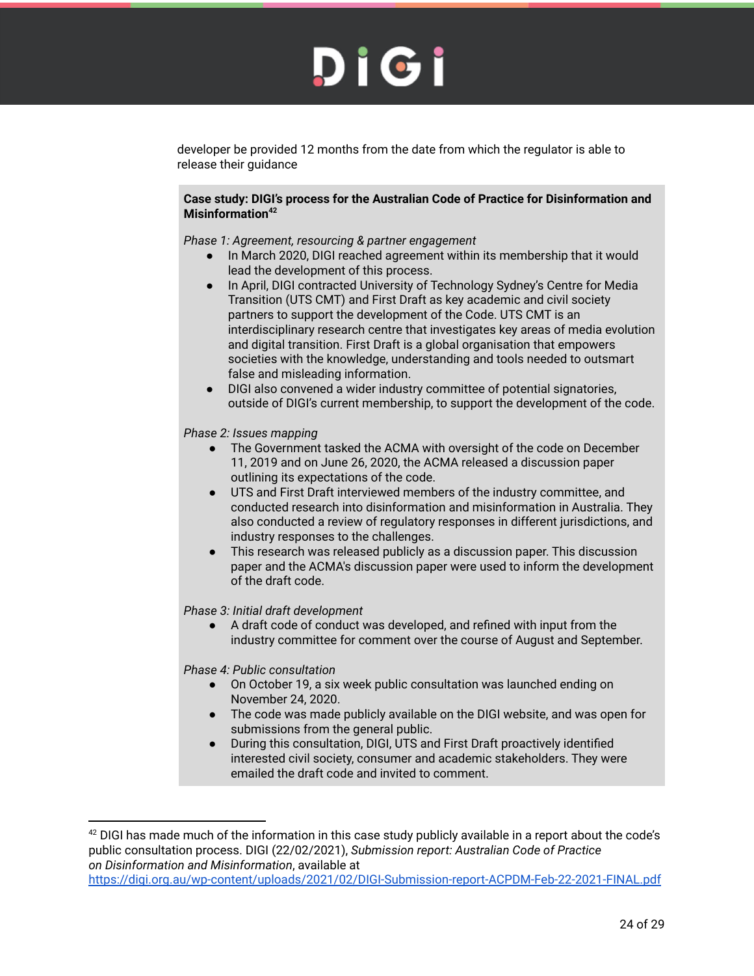developer be provided 12 months from the date from which the regulator is able to release their guidance

#### **Case study: DIGI's process for the Australian Code of Practice for Disinformation and Misinformation<sup>42</sup>**

*Phase 1: Agreement, resourcing & partner engagement*

- In March 2020, DIGI reached agreement within its membership that it would lead the development of this process.
- In April, DIGI contracted University of Technology Sydney's Centre for Media Transition (UTS CMT) and First Draft as key academic and civil society partners to support the development of the Code. UTS CMT is an interdisciplinary research centre that investigates key areas of media evolution and digital transition. First Draft is a global organisation that empowers societies with the knowledge, understanding and tools needed to outsmart false and misleading information.
- DIGI also convened a wider industry committee of potential signatories, outside of DIGI's current membership, to support the development of the code.

#### *Phase 2: Issues mapping*

- The Government tasked the ACMA with oversight of the code on December 11, 2019 and on June 26, 2020, the ACMA released a discussion paper outlining its expectations of the code.
- UTS and First Draft interviewed members of the industry committee, and conducted research into disinformation and misinformation in Australia. They also conducted a review of regulatory responses in different jurisdictions, and industry responses to the challenges.
- This research was released publicly as a discussion paper. This discussion paper and the ACMA's discussion paper were used to inform the development of the draft code.

#### *Phase 3: Initial draft development*

● A draft code of conduct was developed, and refined with input from the industry committee for comment over the course of August and September.

*Phase 4: Public consultation*

- On October 19, a six week public consultation was launched ending on November 24, 2020.
- The code was made publicly available on the DIGI website, and was open for submissions from the general public.
- During this consultation, DIGI, UTS and First Draft proactively identified interested civil society, consumer and academic stakeholders. They were emailed the draft code and invited to comment.

<sup>&</sup>lt;sup>42</sup> DIGI has made much of the information in this case study publicly available in a report about the code's public consultation process. DIGI (22/02/2021), *Submission report: Australian Code of Practice on Disinformation and Misinformation*, available at https://digi.org.au/wp-content/uploads/2021/02/DIGI-Submission-report-ACPDM-Feb-22-2021-FINAL.pdf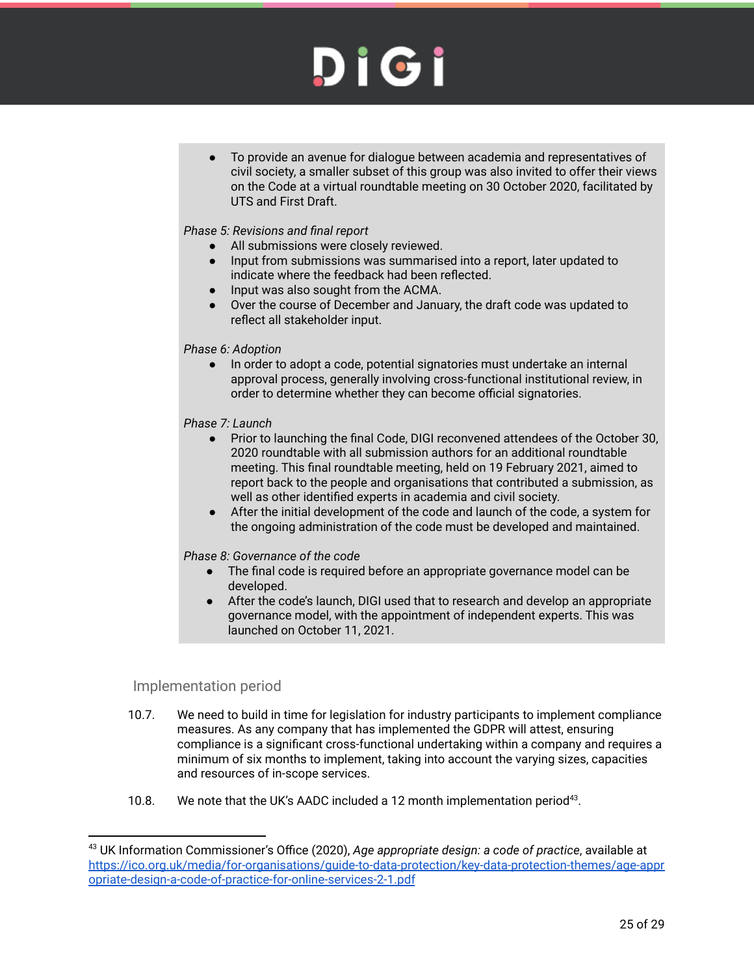To provide an avenue for dialogue between academia and representatives of civil society, a smaller subset of this group was also invited to offer their views on the Code at a virtual roundtable meeting on 30 October 2020, facilitated by UTS and First Draft.

#### *Phase 5: Revisions and final report*

- All submissions were closely reviewed.
- Input from submissions was summarised into a report, later updated to indicate where the feedback had been reflected.
- Input was also sought from the ACMA.
- Over the course of December and January, the draft code was updated to reflect all stakeholder input.

#### *Phase 6: Adoption*

In order to adopt a code, potential signatories must undertake an internal approval process, generally involving cross-functional institutional review, in order to determine whether they can become official signatories.

#### *Phase 7: Launch*

- Prior to launching the final Code, DIGI reconvened attendees of the October 30, 2020 roundtable with all submission authors for an additional roundtable meeting. This final roundtable meeting, held on 19 February 2021, aimed to report back to the people and organisations that contributed a submission, as well as other identified experts in academia and civil society.
- After the initial development of the code and launch of the code, a system for the ongoing administration of the code must be developed and maintained.

#### *Phase 8: Governance of the code*

- The final code is required before an appropriate governance model can be developed.
- After the code's launch, DIGI used that to research and develop an appropriate governance model, with the appointment of independent experts. This was launched on October 11, 2021.

#### Implementation period

- 10.7. We need to build in time for legislation for industry participants to implement compliance measures. As any company that has implemented the GDPR will attest, ensuring compliance is a significant cross-functional undertaking within a company and requires a minimum of six months to implement, taking into account the varying sizes, capacities and resources of in-scope services.
- 10.8. We note that the UK's AADC included a 12 month implementation period<sup>43</sup>.

<sup>43</sup> UK Information Commissioner's Office (2020), *Age appropriate design: a code of practice*, available at https://ico.org.uk/media/for-organisations/guide-to-data-protection/key-data-protection-themes/age-appr opriate-design-a-code-of-practice-for-online-services-2-1.pdf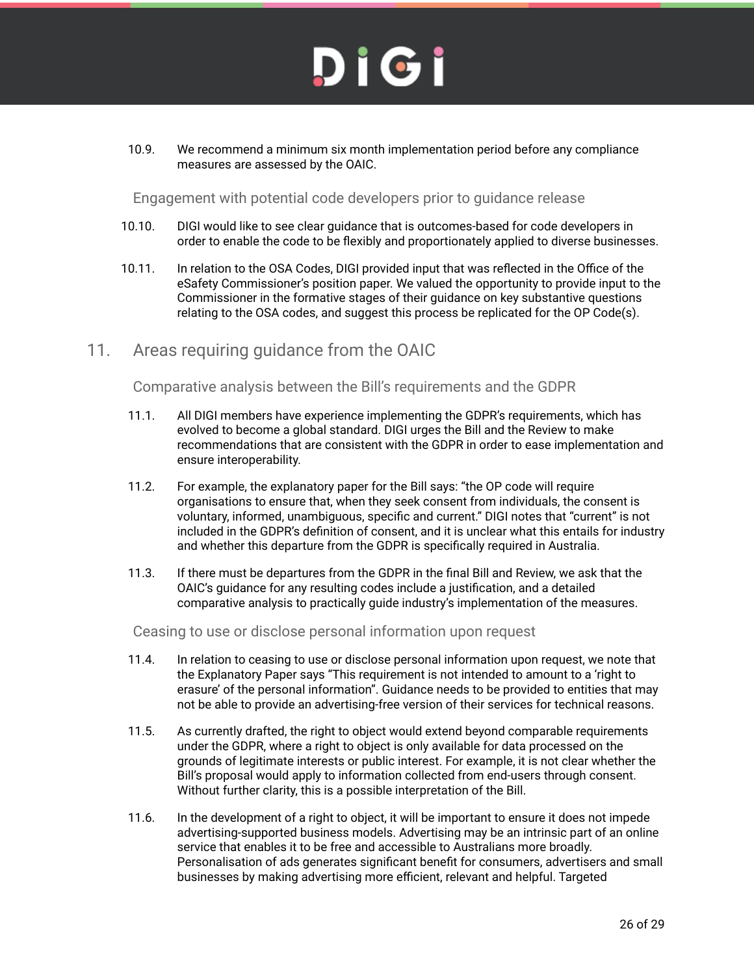10.9. We recommend a minimum six month implementation period before any compliance measures are assessed by the OAIC.

Engagement with potential code developers prior to guidance release

- 10.10. DIGI would like to see clear guidance that is outcomes-based for code developers in order to enable the code to be flexibly and proportionately applied to diverse businesses.
- 10.11. In relation to the OSA Codes, DIGI provided input that was reflected in the Office of the eSafety Commissioner's position paper. We valued the opportunity to provide input to the Commissioner in the formative stages of their guidance on key substantive questions relating to the OSA codes, and suggest this process be replicated for the OP Code(s).
- 11. Areas requiring guidance from the OAIC

Comparative analysis between the Bill's requirements and the GDPR

- 11.1. All DIGI members have experience implementing the GDPR's requirements, which has evolved to become a global standard. DIGI urges the Bill and the Review to make recommendations that are consistent with the GDPR in order to ease implementation and ensure interoperability.
- 11.2. For example, the explanatory paper for the Bill says: "the OP code will require organisations to ensure that, when they seek consent from individuals, the consent is voluntary, informed, unambiguous, specific and current." DIGI notes that "current" is not included in the GDPR's definition of consent, and it is unclear what this entails for industry and whether this departure from the GDPR is specifically required in Australia.
- 11.3. If there must be departures from the GDPR in the final Bill and Review, we ask that the OAIC's guidance for any resulting codes include a justification, and a detailed comparative analysis to practically guide industry's implementation of the measures.

Ceasing to use or disclose personal information upon request

- 11.4. In relation to ceasing to use or disclose personal information upon request, we note that the Explanatory Paper says "This requirement is not intended to amount to a 'right to erasure' of the personal information". Guidance needs to be provided to entities that may not be able to provide an advertising-free version of their services for technical reasons.
- 11.5. As currently drafted, the right to object would extend beyond comparable requirements under the GDPR, where a right to object is only available for data processed on the grounds of legitimate interests or public interest. For example, it is not clear whether the Bill's proposal would apply to information collected from end-users through consent. Without further clarity, this is a possible interpretation of the Bill.
- 11.6. In the development of a right to object, it will be important to ensure it does not impede advertising-supported business models. Advertising may be an intrinsic part of an online service that enables it to be free and accessible to Australians more broadly. Personalisation of ads generates significant benefit for consumers, advertisers and small businesses by making advertising more efficient, relevant and helpful. Targeted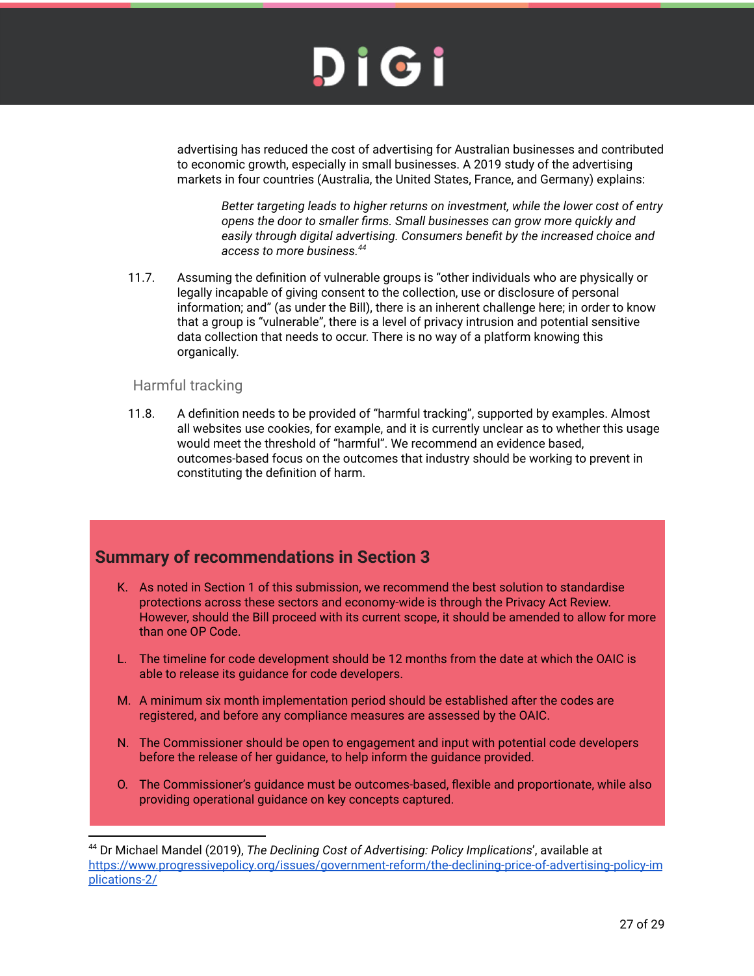

advertising has reduced the cost of advertising for Australian businesses and contributed to economic growth, especially in small businesses. A 2019 study of the advertising markets in four countries (Australia, the United States, France, and Germany) explains:

*Better targeting leads to higher returns on investment, while the lower cost of entry opens the door to smaller firms. Small businesses can grow more quickly and easily through digital advertising. Consumers benefit by the increased choice and access to more business.<sup>44</sup>*

11.7. Assuming the definition of vulnerable groups is "other individuals who are physically or legally incapable of giving consent to the collection, use or disclosure of personal information; and" (as under the Bill), there is an inherent challenge here; in order to know that a group is "vulnerable", there is a level of privacy intrusion and potential sensitive data collection that needs to occur. There is no way of a platform knowing this organically.

#### Harmful tracking

11.8. A definition needs to be provided of "harmful tracking", supported by examples. Almost all websites use cookies, for example, and it is currently unclear as to whether this usage would meet the threshold of "harmful". We recommend an evidence based, outcomes-based focus on the outcomes that industry should be working to prevent in constituting the definition of harm.

#### **Summary of recommendations in Section 3**

- K. As noted in Section 1 of this submission, we recommend the best solution to standardise protections across these sectors and economy-wide is through the Privacy Act Review. However, should the Bill proceed with its current scope, it should be amended to allow for more than one OP Code.
- L. The timeline for code development should be 12 months from the date at which the OAIC is able to release its guidance for code developers.
- M. A minimum six month implementation period should be established after the codes are registered, and before any compliance measures are assessed by the OAIC.
- N. The Commissioner should be open to engagement and input with potential code developers before the release of her guidance, to help inform the guidance provided.
- O. The Commissioner's guidance must be outcomes-based, flexible and proportionate, while also providing operational guidance on key concepts captured.

<sup>44</sup> Dr Michael Mandel (2019), *The Declining Cost of Advertising: Policy Implications*', available at https://www.progressivepolicy.org/issues/government-reform/the-declining-price-of-advertising-policy-im plications-2/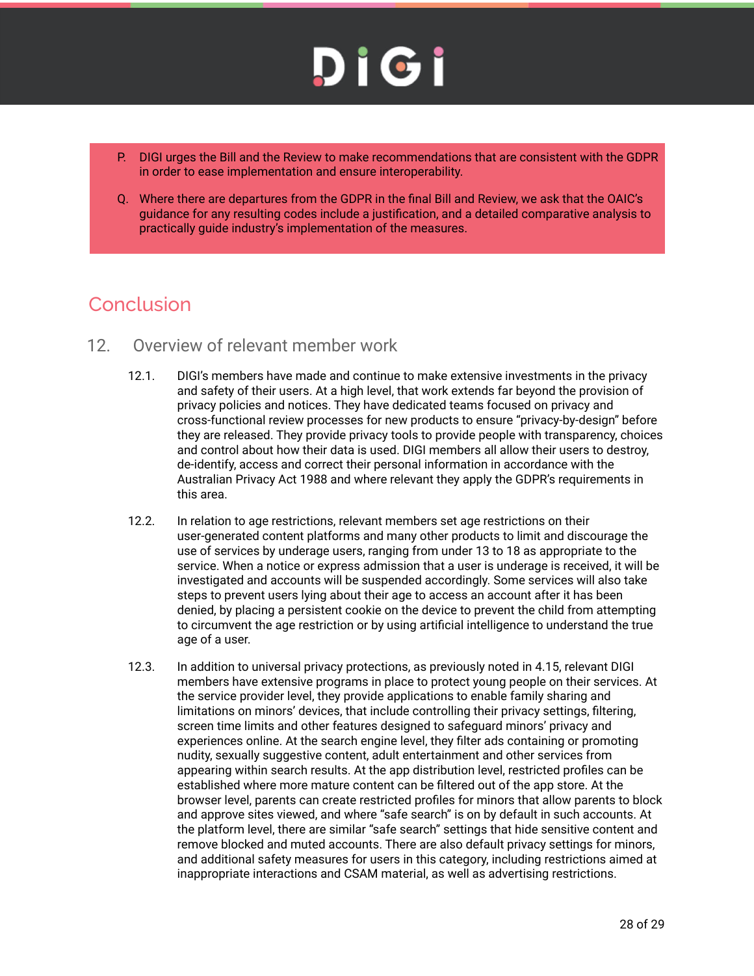

- P. DIGI urges the Bill and the Review to make recommendations that are consistent with the GDPR in order to ease implementation and ensure interoperability.
- Q. Where there are departures from the GDPR in the final Bill and Review, we ask that the OAIC's guidance for any resulting codes include a justification, and a detailed comparative analysis to practically guide industry's implementation of the measures.

#### Conclusion

- 12. Overview of relevant member work
	- 12.1. DIGI's members have made and continue to make extensive investments in the privacy and safety of their users. At a high level, that work extends far beyond the provision of privacy policies and notices. They have dedicated teams focused on privacy and cross-functional review processes for new products to ensure "privacy-by-design" before they are released. They provide privacy tools to provide people with transparency, choices and control about how their data is used. DIGI members all allow their users to destroy, de-identify, access and correct their personal information in accordance with the Australian Privacy Act 1988 and where relevant they apply the GDPR's requirements in this area.
	- 12.2. In relation to age restrictions, relevant members set age restrictions on their user-generated content platforms and many other products to limit and discourage the use of services by underage users, ranging from under 13 to 18 as appropriate to the service. When a notice or express admission that a user is underage is received, it will be investigated and accounts will be suspended accordingly. Some services will also take steps to prevent users lying about their age to access an account after it has been denied, by placing a persistent cookie on the device to prevent the child from attempting to circumvent the age restriction or by using artificial intelligence to understand the true age of a user.
	- 12.3. In addition to universal privacy protections, as previously noted in 4.15, relevant DIGI members have extensive programs in place to protect young people on their services. At the service provider level, they provide applications to enable family sharing and limitations on minors' devices, that include controlling their privacy settings, filtering, screen time limits and other features designed to safeguard minors' privacy and experiences online. At the search engine level, they filter ads containing or promoting nudity, sexually suggestive content, adult entertainment and other services from appearing within search results. At the app distribution level, restricted profiles can be established where more mature content can be filtered out of the app store. At the browser level, parents can create restricted profiles for minors that allow parents to block and approve sites viewed, and where "safe search" is on by default in such accounts. At the platform level, there are similar "safe search" settings that hide sensitive content and remove blocked and muted accounts. There are also default privacy settings for minors, and additional safety measures for users in this category, including restrictions aimed at inappropriate interactions and CSAM material, as well as advertising restrictions.